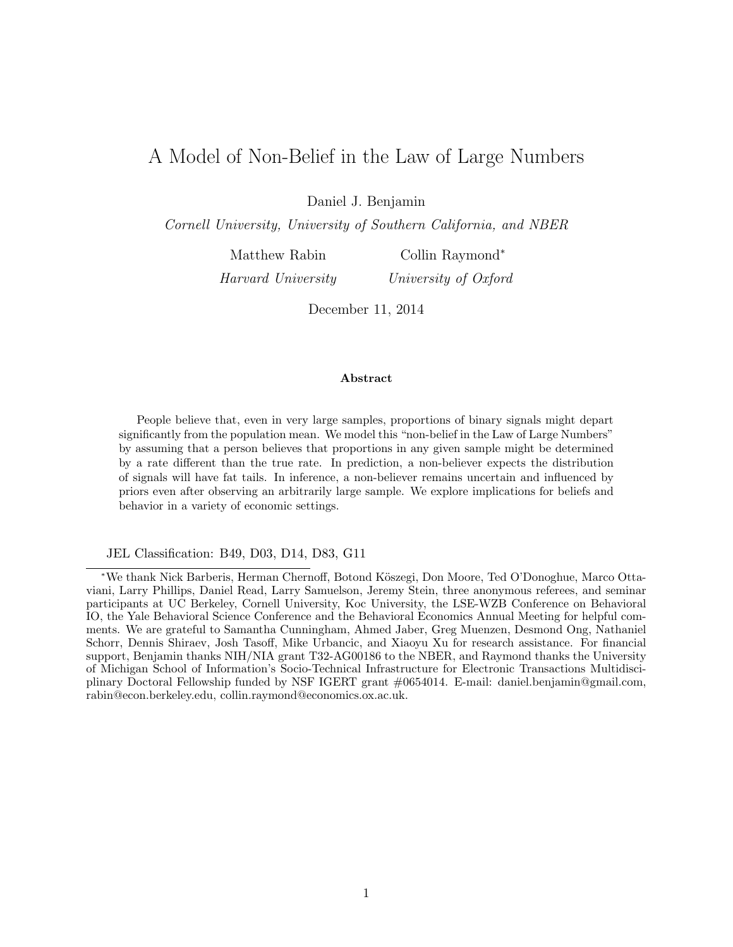# A Model of Non-Belief in the Law of Large Numbers

Daniel J. Benjamin

Cornell University, University of Southern California, and NBER

Matthew Rabin

Harvard University

Collin Raymond<sup>∗</sup> University of Oxford

December 11, 2014

#### Abstract

People believe that, even in very large samples, proportions of binary signals might depart significantly from the population mean. We model this "non-belief in the Law of Large Numbers" by assuming that a person believes that proportions in any given sample might be determined by a rate different than the true rate. In prediction, a non-believer expects the distribution of signals will have fat tails. In inference, a non-believer remains uncertain and influenced by priors even after observing an arbitrarily large sample. We explore implications for beliefs and behavior in a variety of economic settings.

JEL Classification: B49, D03, D14, D83, G11

<sup>∗</sup>We thank Nick Barberis, Herman Chernoff, Botond K¨oszegi, Don Moore, Ted O'Donoghue, Marco Ottaviani, Larry Phillips, Daniel Read, Larry Samuelson, Jeremy Stein, three anonymous referees, and seminar participants at UC Berkeley, Cornell University, Koc University, the LSE-WZB Conference on Behavioral IO, the Yale Behavioral Science Conference and the Behavioral Economics Annual Meeting for helpful comments. We are grateful to Samantha Cunningham, Ahmed Jaber, Greg Muenzen, Desmond Ong, Nathaniel Schorr, Dennis Shiraev, Josh Tasoff, Mike Urbancic, and Xiaoyu Xu for research assistance. For financial support, Benjamin thanks NIH/NIA grant T32-AG00186 to the NBER, and Raymond thanks the University of Michigan School of Information's Socio-Technical Infrastructure for Electronic Transactions Multidisciplinary Doctoral Fellowship funded by NSF IGERT grant #0654014. E-mail: daniel.benjamin@gmail.com, rabin@econ.berkeley.edu, collin.raymond@economics.ox.ac.uk.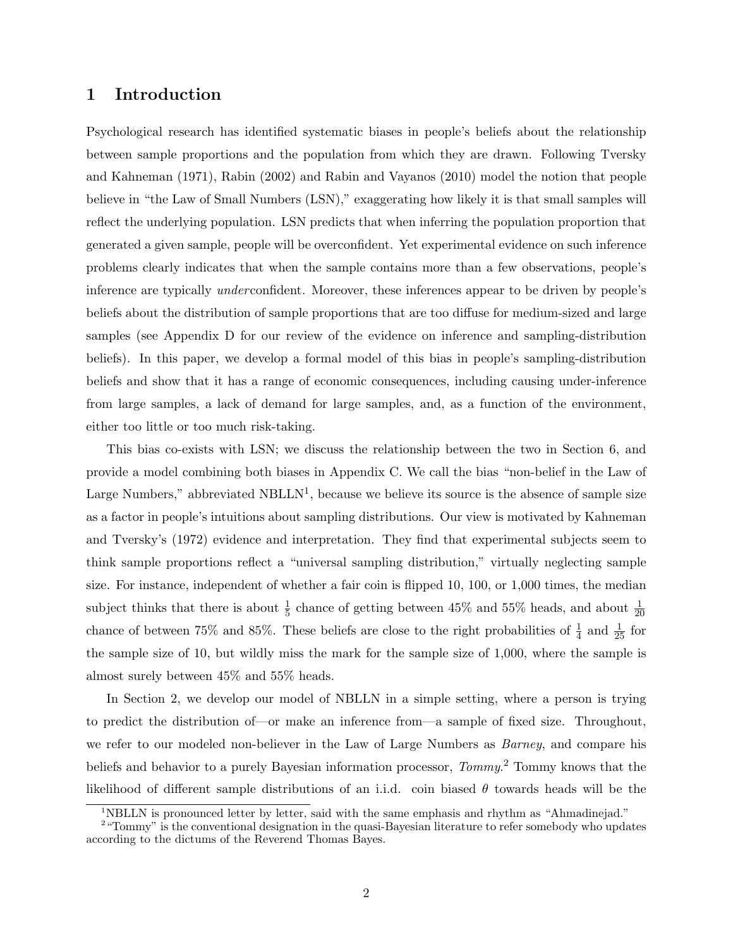### 1 Introduction

Psychological research has identified systematic biases in people's beliefs about the relationship between sample proportions and the population from which they are drawn. Following Tversky and Kahneman (1971), Rabin (2002) and Rabin and Vayanos (2010) model the notion that people believe in "the Law of Small Numbers (LSN)," exaggerating how likely it is that small samples will reflect the underlying population. LSN predicts that when inferring the population proportion that generated a given sample, people will be overconfident. Yet experimental evidence on such inference problems clearly indicates that when the sample contains more than a few observations, people's inference are typically underconfident. Moreover, these inferences appear to be driven by people's beliefs about the distribution of sample proportions that are too diffuse for medium-sized and large samples (see Appendix D for our review of the evidence on inference and sampling-distribution beliefs). In this paper, we develop a formal model of this bias in people's sampling-distribution beliefs and show that it has a range of economic consequences, including causing under-inference from large samples, a lack of demand for large samples, and, as a function of the environment, either too little or too much risk-taking.

This bias co-exists with LSN; we discuss the relationship between the two in Section 6, and provide a model combining both biases in Appendix C. We call the bias "non-belief in the Law of Large Numbers," abbreviated NBLLN<sup>1</sup>, because we believe its source is the absence of sample size as a factor in people's intuitions about sampling distributions. Our view is motivated by Kahneman and Tversky's (1972) evidence and interpretation. They find that experimental subjects seem to think sample proportions reflect a "universal sampling distribution," virtually neglecting sample size. For instance, independent of whether a fair coin is flipped 10, 100, or 1,000 times, the median subject thinks that there is about  $\frac{1}{5}$  chance of getting between 45% and 55% heads, and about  $\frac{1}{20}$ chance of between 75% and 85%. These beliefs are close to the right probabilities of  $\frac{1}{4}$  and  $\frac{1}{25}$  for the sample size of 10, but wildly miss the mark for the sample size of 1,000, where the sample is almost surely between 45% and 55% heads.

In Section 2, we develop our model of NBLLN in a simple setting, where a person is trying to predict the distribution of—or make an inference from—a sample of fixed size. Throughout, we refer to our modeled non-believer in the Law of Large Numbers as *Barney*, and compare his beliefs and behavior to a purely Bayesian information processor, *Tommy*.<sup>2</sup> Tommy knows that the likelihood of different sample distributions of an i.i.d. coin biased  $\theta$  towards heads will be the

<sup>&</sup>lt;sup>1</sup>NBLLN is pronounced letter by letter, said with the same emphasis and rhythm as "Ahmadinejad."

<sup>&</sup>lt;sup>2</sup> "Tommy" is the conventional designation in the quasi-Bayesian literature to refer somebody who updates according to the dictums of the Reverend Thomas Bayes.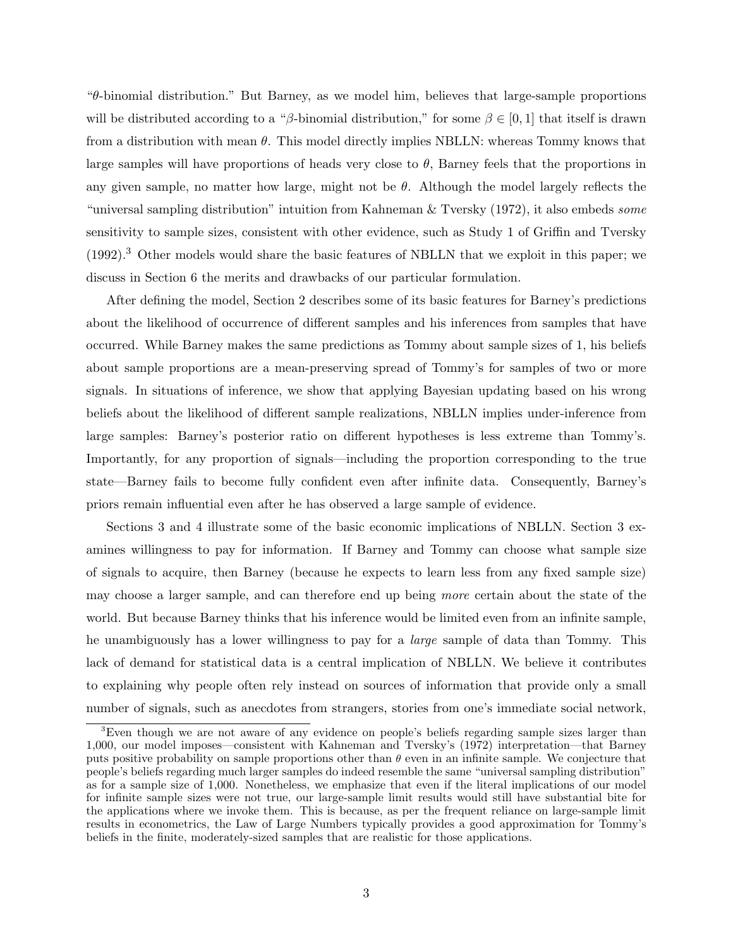"θ-binomial distribution." But Barney, as we model him, believes that large-sample proportions will be distributed according to a "β-binomial distribution," for some  $\beta \in [0,1]$  that itself is drawn from a distribution with mean  $\theta$ . This model directly implies NBLLN: whereas Tommy knows that large samples will have proportions of heads very close to  $\theta$ , Barney feels that the proportions in any given sample, no matter how large, might not be  $\theta$ . Although the model largely reflects the "universal sampling distribution" intuition from Kahneman & Tversky  $(1972)$ , it also embeds some sensitivity to sample sizes, consistent with other evidence, such as Study 1 of Griffin and Tversky (1992).<sup>3</sup> Other models would share the basic features of NBLLN that we exploit in this paper; we discuss in Section 6 the merits and drawbacks of our particular formulation.

After defining the model, Section 2 describes some of its basic features for Barney's predictions about the likelihood of occurrence of different samples and his inferences from samples that have occurred. While Barney makes the same predictions as Tommy about sample sizes of 1, his beliefs about sample proportions are a mean-preserving spread of Tommy's for samples of two or more signals. In situations of inference, we show that applying Bayesian updating based on his wrong beliefs about the likelihood of different sample realizations, NBLLN implies under-inference from large samples: Barney's posterior ratio on different hypotheses is less extreme than Tommy's. Importantly, for any proportion of signals—including the proportion corresponding to the true state—Barney fails to become fully confident even after infinite data. Consequently, Barney's priors remain influential even after he has observed a large sample of evidence.

Sections 3 and 4 illustrate some of the basic economic implications of NBLLN. Section 3 examines willingness to pay for information. If Barney and Tommy can choose what sample size of signals to acquire, then Barney (because he expects to learn less from any fixed sample size) may choose a larger sample, and can therefore end up being more certain about the state of the world. But because Barney thinks that his inference would be limited even from an infinite sample, he unambiguously has a lower willingness to pay for a large sample of data than Tommy. This lack of demand for statistical data is a central implication of NBLLN. We believe it contributes to explaining why people often rely instead on sources of information that provide only a small number of signals, such as anecdotes from strangers, stories from one's immediate social network,

<sup>&</sup>lt;sup>3</sup>Even though we are not aware of any evidence on people's beliefs regarding sample sizes larger than 1,000, our model imposes—consistent with Kahneman and Tversky's (1972) interpretation—that Barney puts positive probability on sample proportions other than  $\theta$  even in an infinite sample. We conjecture that people's beliefs regarding much larger samples do indeed resemble the same "universal sampling distribution" as for a sample size of 1,000. Nonetheless, we emphasize that even if the literal implications of our model for infinite sample sizes were not true, our large-sample limit results would still have substantial bite for the applications where we invoke them. This is because, as per the frequent reliance on large-sample limit results in econometrics, the Law of Large Numbers typically provides a good approximation for Tommy's beliefs in the finite, moderately-sized samples that are realistic for those applications.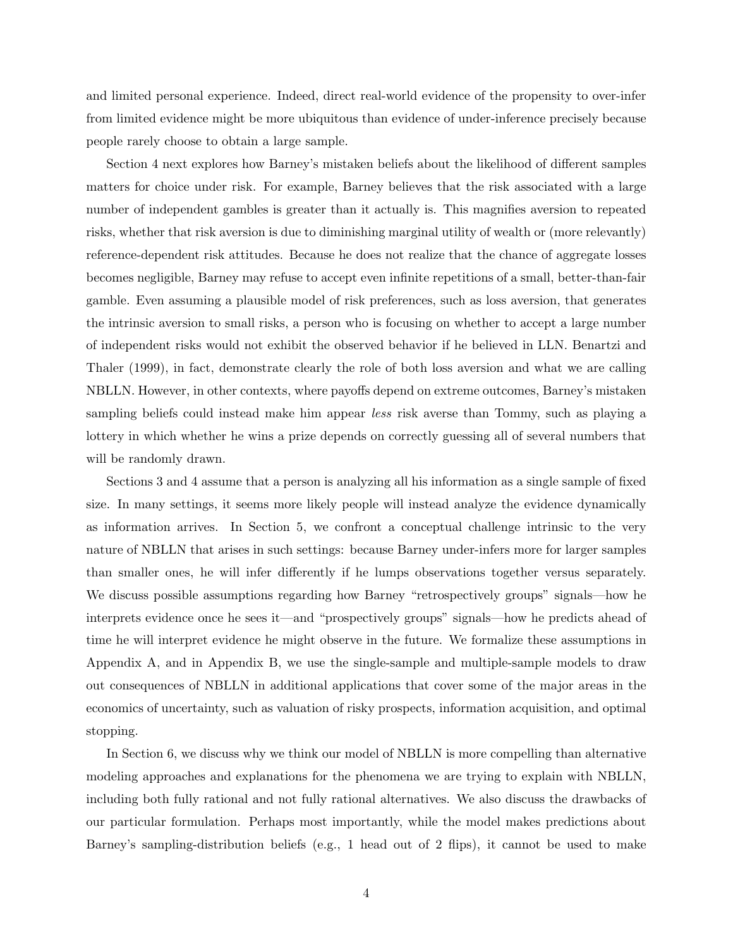and limited personal experience. Indeed, direct real-world evidence of the propensity to over-infer from limited evidence might be more ubiquitous than evidence of under-inference precisely because people rarely choose to obtain a large sample.

Section 4 next explores how Barney's mistaken beliefs about the likelihood of different samples matters for choice under risk. For example, Barney believes that the risk associated with a large number of independent gambles is greater than it actually is. This magnifies aversion to repeated risks, whether that risk aversion is due to diminishing marginal utility of wealth or (more relevantly) reference-dependent risk attitudes. Because he does not realize that the chance of aggregate losses becomes negligible, Barney may refuse to accept even infinite repetitions of a small, better-than-fair gamble. Even assuming a plausible model of risk preferences, such as loss aversion, that generates the intrinsic aversion to small risks, a person who is focusing on whether to accept a large number of independent risks would not exhibit the observed behavior if he believed in LLN. Benartzi and Thaler (1999), in fact, demonstrate clearly the role of both loss aversion and what we are calling NBLLN. However, in other contexts, where payoffs depend on extreme outcomes, Barney's mistaken sampling beliefs could instead make him appear *less* risk averse than Tommy, such as playing a lottery in which whether he wins a prize depends on correctly guessing all of several numbers that will be randomly drawn.

Sections 3 and 4 assume that a person is analyzing all his information as a single sample of fixed size. In many settings, it seems more likely people will instead analyze the evidence dynamically as information arrives. In Section 5, we confront a conceptual challenge intrinsic to the very nature of NBLLN that arises in such settings: because Barney under-infers more for larger samples than smaller ones, he will infer differently if he lumps observations together versus separately. We discuss possible assumptions regarding how Barney "retrospectively groups" signals—how he interprets evidence once he sees it—and "prospectively groups" signals—how he predicts ahead of time he will interpret evidence he might observe in the future. We formalize these assumptions in Appendix A, and in Appendix B, we use the single-sample and multiple-sample models to draw out consequences of NBLLN in additional applications that cover some of the major areas in the economics of uncertainty, such as valuation of risky prospects, information acquisition, and optimal stopping.

In Section 6, we discuss why we think our model of NBLLN is more compelling than alternative modeling approaches and explanations for the phenomena we are trying to explain with NBLLN, including both fully rational and not fully rational alternatives. We also discuss the drawbacks of our particular formulation. Perhaps most importantly, while the model makes predictions about Barney's sampling-distribution beliefs (e.g., 1 head out of 2 flips), it cannot be used to make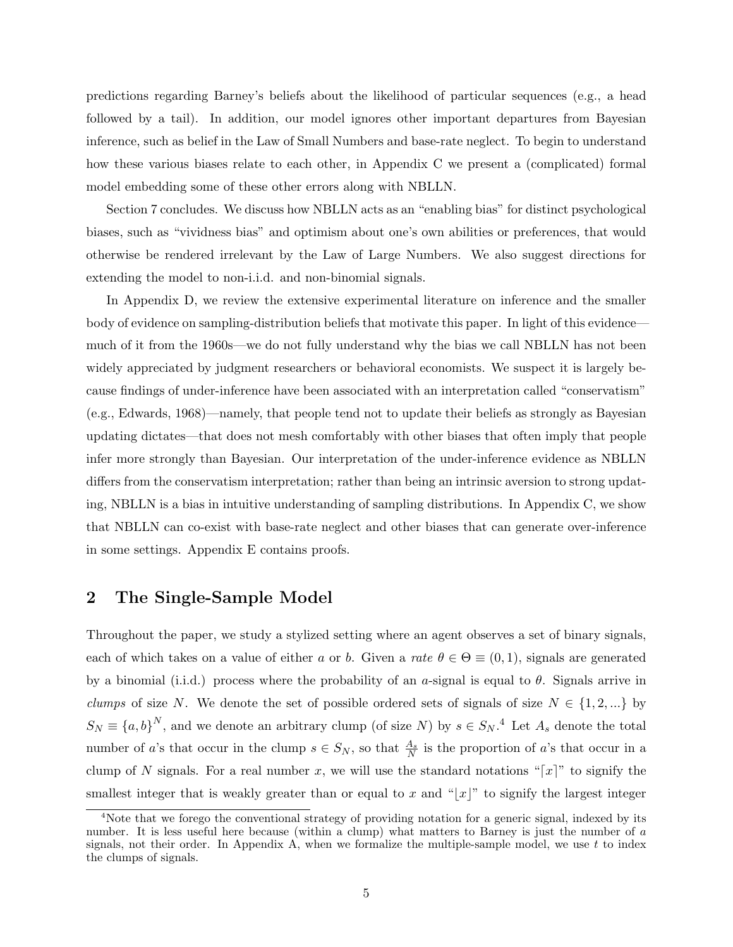predictions regarding Barney's beliefs about the likelihood of particular sequences (e.g., a head followed by a tail). In addition, our model ignores other important departures from Bayesian inference, such as belief in the Law of Small Numbers and base-rate neglect. To begin to understand how these various biases relate to each other, in Appendix C we present a (complicated) formal model embedding some of these other errors along with NBLLN.

Section 7 concludes. We discuss how NBLLN acts as an "enabling bias" for distinct psychological biases, such as "vividness bias" and optimism about one's own abilities or preferences, that would otherwise be rendered irrelevant by the Law of Large Numbers. We also suggest directions for extending the model to non-i.i.d. and non-binomial signals.

In Appendix D, we review the extensive experimental literature on inference and the smaller body of evidence on sampling-distribution beliefs that motivate this paper. In light of this evidence much of it from the 1960s—we do not fully understand why the bias we call NBLLN has not been widely appreciated by judgment researchers or behavioral economists. We suspect it is largely because findings of under-inference have been associated with an interpretation called "conservatism" (e.g., Edwards, 1968)—namely, that people tend not to update their beliefs as strongly as Bayesian updating dictates—that does not mesh comfortably with other biases that often imply that people infer more strongly than Bayesian. Our interpretation of the under-inference evidence as NBLLN differs from the conservatism interpretation; rather than being an intrinsic aversion to strong updating, NBLLN is a bias in intuitive understanding of sampling distributions. In Appendix C, we show that NBLLN can co-exist with base-rate neglect and other biases that can generate over-inference in some settings. Appendix E contains proofs.

### 2 The Single-Sample Model

Throughout the paper, we study a stylized setting where an agent observes a set of binary signals, each of which takes on a value of either a or b. Given a rate  $\theta \in \Theta \equiv (0,1)$ , signals are generated by a binomial (i.i.d.) process where the probability of an a-signal is equal to  $\theta$ . Signals arrive in *clumps* of size N. We denote the set of possible ordered sets of signals of size  $N \in \{1, 2, ...\}$  by  $S_N \equiv \{a, b\}^N$ , and we denote an arbitrary clump (of size N) by  $s \in S_N$ .<sup>4</sup> Let  $A_s$  denote the total number of a's that occur in the clump  $s \in S_N$ , so that  $\frac{A_s}{N}$  is the proportion of a's that occur in a clump of N signals. For a real number x, we will use the standard notations "[x]" to signify the smallest integer that is weakly greater than or equal to x and "|x|" to signify the largest integer

<sup>4</sup>Note that we forego the conventional strategy of providing notation for a generic signal, indexed by its number. It is less useful here because (within a clump) what matters to Barney is just the number of a signals, not their order. In Appendix A, when we formalize the multiple-sample model, we use t to index the clumps of signals.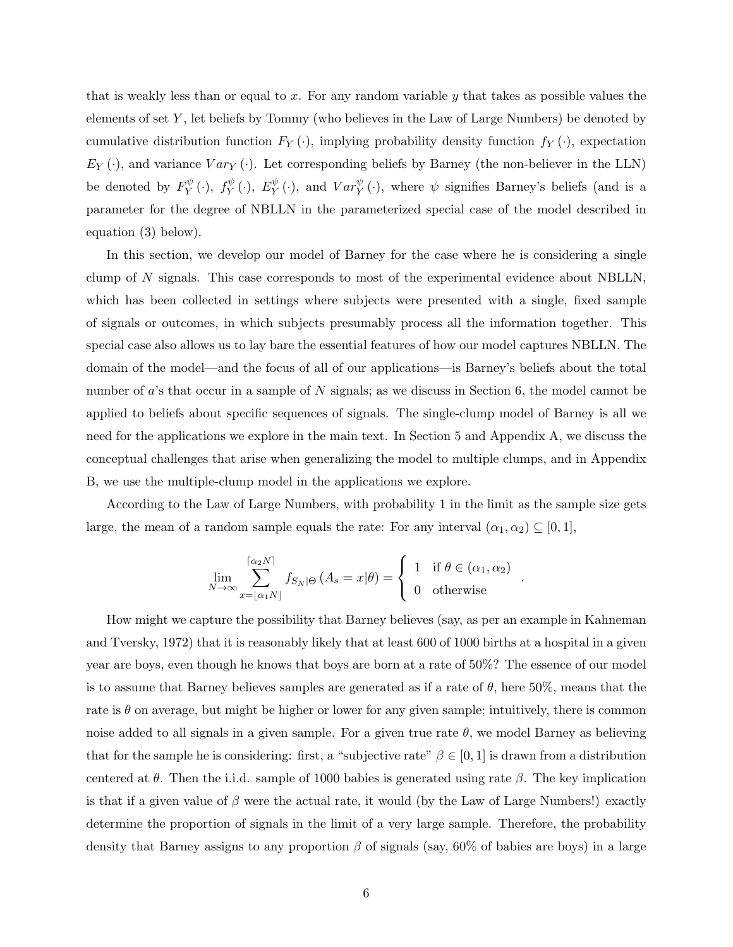that is weakly less than or equal to x. For any random variable  $y$  that takes as possible values the elements of set  $Y$ , let beliefs by Tommy (who believes in the Law of Large Numbers) be denoted by cumulative distribution function  $F_Y(\cdot)$ , implying probability density function  $f_Y(\cdot)$ , expectation  $E_Y(\cdot)$ , and variance  $Var_Y(\cdot)$ . Let corresponding beliefs by Barney (the non-believer in the LLN) be denoted by  $F_V^{\psi}$  $f_Y^{\psi}(\cdot)$ ,  $f_Y^{\psi}$  $Y^{\psi}(\cdot),\;E^{\psi}_Y$  $_Y^{\psi}(\cdot)$ , and  $Var_Y^{\psi}(\cdot)$ , where  $\psi$  signifies Barney's beliefs (and is a parameter for the degree of NBLLN in the parameterized special case of the model described in equation (3) below).

In this section, we develop our model of Barney for the case where he is considering a single clump of N signals. This case corresponds to most of the experimental evidence about NBLLN, which has been collected in settings where subjects were presented with a single, fixed sample of signals or outcomes, in which subjects presumably process all the information together. This special case also allows us to lay bare the essential features of how our model captures NBLLN. The domain of the model—and the focus of all of our applications—is Barney's beliefs about the total number of a's that occur in a sample of N signals; as we discuss in Section 6, the model cannot be applied to beliefs about specific sequences of signals. The single-clump model of Barney is all we need for the applications we explore in the main text. In Section 5 and Appendix A, we discuss the conceptual challenges that arise when generalizing the model to multiple clumps, and in Appendix B, we use the multiple-clump model in the applications we explore.

According to the Law of Large Numbers, with probability 1 in the limit as the sample size gets large, the mean of a random sample equals the rate: For any interval  $(\alpha_1, \alpha_2) \subseteq [0, 1],$ 

$$
\lim_{N \to \infty} \sum_{x = \lfloor \alpha_1 N \rfloor}^{\lceil \alpha_2 N \rceil} f_{S_N | \Theta} (A_s = x | \theta) = \begin{cases} 1 & \text{if } \theta \in (\alpha_1, \alpha_2) \\ 0 & \text{otherwise} \end{cases}
$$

.

How might we capture the possibility that Barney believes (say, as per an example in Kahneman and Tversky, 1972) that it is reasonably likely that at least 600 of 1000 births at a hospital in a given year are boys, even though he knows that boys are born at a rate of 50%? The essence of our model is to assume that Barney believes samples are generated as if a rate of  $\theta$ , here 50%, means that the rate is  $\theta$  on average, but might be higher or lower for any given sample; intuitively, there is common noise added to all signals in a given sample. For a given true rate  $\theta$ , we model Barney as believing that for the sample he is considering: first, a "subjective rate"  $\beta \in [0, 1]$  is drawn from a distribution centered at  $\theta$ . Then the i.i.d. sample of 1000 babies is generated using rate  $\beta$ . The key implication is that if a given value of  $\beta$  were the actual rate, it would (by the Law of Large Numbers!) exactly determine the proportion of signals in the limit of a very large sample. Therefore, the probability density that Barney assigns to any proportion  $\beta$  of signals (say, 60% of babies are boys) in a large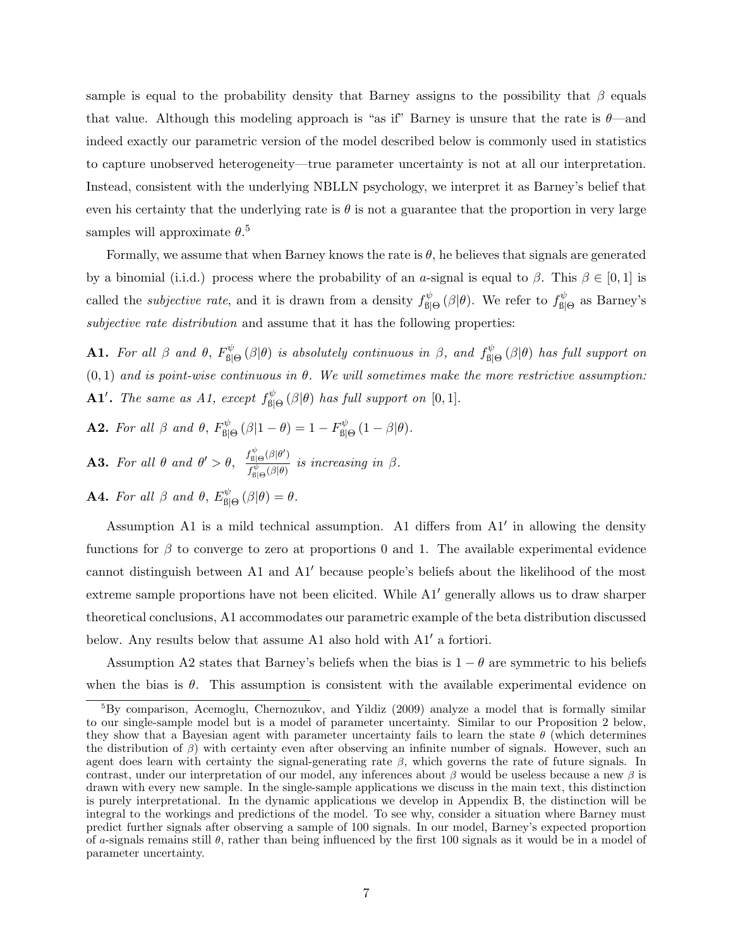sample is equal to the probability density that Barney assigns to the possibility that  $\beta$  equals that value. Although this modeling approach is "as if" Barney is unsure that the rate is  $\theta$ —and indeed exactly our parametric version of the model described below is commonly used in statistics to capture unobserved heterogeneity—true parameter uncertainty is not at all our interpretation. Instead, consistent with the underlying NBLLN psychology, we interpret it as Barney's belief that even his certainty that the underlying rate is  $\theta$  is not a guarantee that the proportion in very large samples will approximate  $\theta$ <sup>5</sup>

Formally, we assume that when Barney knows the rate is  $\theta$ , he believes that signals are generated by a binomial (i.i.d.) process where the probability of an a-signal is equal to  $\beta$ . This  $\beta \in [0,1]$  is called the *subjective rate*, and it is drawn from a density  $f_{\text{ell}}^{\psi}$  $\mathcal{B}^{\psi}_{\mathsf{B}|\Theta}(\beta|\theta)$ . We refer to  $f^{\psi}_{\mathsf{B}|\Theta}$ <sup>,ψ</sup><sub>β|Θ</sub> as Barney's subjective rate distribution and assume that it has the following properties:

**A1.** For all  $\beta$  and  $\theta$ ,  $F_{\text{R}}^{\psi}$  $\mathbb{E}_{\mathbb{B}[\Theta]}^{\mathbb{B}(\beta)}$  is absolutely continuous in  $\beta$ , and  $f_{\mathbb{B}[\Theta]}^{\psi}$  $f^{\psi}_{\beta|\Theta}(\beta|\theta)$  has full support on  $(0, 1)$  and is point-wise continuous in  $\theta$ . We will sometimes make the more restrictive assumption: **A1'.** The same as A1, except  $f_{\text{rel}}^{\psi}$  $\int_{\mathcal{B}|\Theta}^{\psi}(\beta|\theta)$  has full support on  $[0,1].$ 

- **A2.** For all  $\beta$  and  $\theta$ ,  $F_{\text{rel}}^{\psi}$  $\int_{\mathcal{B}|\Theta}^{\psi}\left(\beta|1-\theta\right)=1-F^{\psi}_{\mathcal{B}|}$  $\int_{\beta|\Theta}^{\psi} (1-\beta|\theta).$
- **A3.** For all  $\theta$  and  $\theta' > \theta$ ,  $\frac{f_{\text{B}|\Theta}^{\psi}(\beta|\theta')}{f_{\text{B}(\phi)}^{\psi}(\beta|\theta')}$  $\frac{f_{\text{B}|\Theta}^{ \psi}(\beta|\theta)}{f_{\text{B}|\Theta}^{ \psi}(\beta|\theta)}$  is increasing in  $\beta$ .
- **A4.** For all  $\beta$  and  $\theta$ ,  $E_{\text{RI}}^{\psi}$  $\int_{\beta|\Theta}^{\psi}(\beta|\theta) = \theta.$

Assumption A1 is a mild technical assumption. A1 differs from  $A1'$  in allowing the density functions for  $\beta$  to converge to zero at proportions 0 and 1. The available experimental evidence cannot distinguish between A1 and  $A1'$  because people's beliefs about the likelihood of the most extreme sample proportions have not been elicited. While A1' generally allows us to draw sharper theoretical conclusions, A1 accommodates our parametric example of the beta distribution discussed below. Any results below that assume A1 also hold with  $A1'$  a fortiori.

Assumption A2 states that Barney's beliefs when the bias is  $1 - \theta$  are symmetric to his beliefs when the bias is  $\theta$ . This assumption is consistent with the available experimental evidence on

<sup>5</sup>By comparison, Acemoglu, Chernozukov, and Yildiz (2009) analyze a model that is formally similar to our single-sample model but is a model of parameter uncertainty. Similar to our Proposition 2 below, they show that a Bayesian agent with parameter uncertainty fails to learn the state  $\theta$  (which determines the distribution of  $\beta$ ) with certainty even after observing an infinite number of signals. However, such an agent does learn with certainty the signal-generating rate  $\beta$ , which governs the rate of future signals. In contrast, under our interpretation of our model, any inferences about  $\beta$  would be useless because a new  $\beta$  is drawn with every new sample. In the single-sample applications we discuss in the main text, this distinction is purely interpretational. In the dynamic applications we develop in Appendix B, the distinction will be integral to the workings and predictions of the model. To see why, consider a situation where Barney must predict further signals after observing a sample of 100 signals. In our model, Barney's expected proportion of a-signals remains still  $\theta$ , rather than being influenced by the first 100 signals as it would be in a model of parameter uncertainty.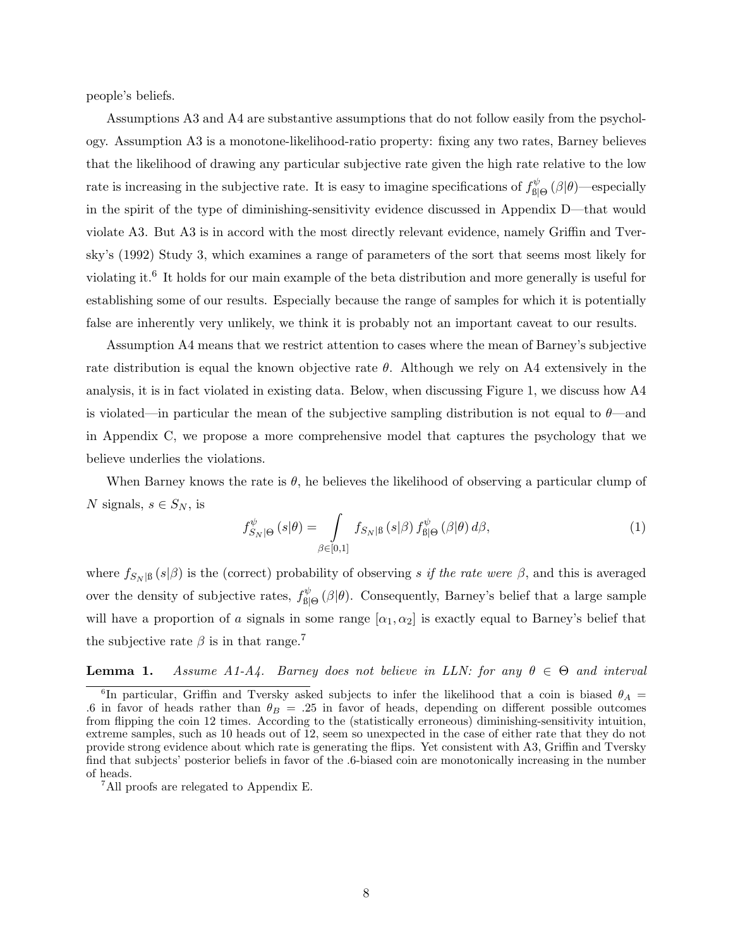people's beliefs.

Assumptions A3 and A4 are substantive assumptions that do not follow easily from the psychology. Assumption A3 is a monotone-likelihood-ratio property: fixing any two rates, Barney believes that the likelihood of drawing any particular subjective rate given the high rate relative to the low rate is increasing in the subjective rate. It is easy to imagine specifications of  $f_{\text{ell}}^{\psi}$  $\delta^\psi_{\mathsf{B}|\Theta}\left(\beta|\theta\right)$ —especially in the spirit of the type of diminishing-sensitivity evidence discussed in Appendix D—that would violate A3. But A3 is in accord with the most directly relevant evidence, namely Griffin and Tversky's (1992) Study 3, which examines a range of parameters of the sort that seems most likely for violating it.<sup>6</sup> It holds for our main example of the beta distribution and more generally is useful for establishing some of our results. Especially because the range of samples for which it is potentially false are inherently very unlikely, we think it is probably not an important caveat to our results.

Assumption A4 means that we restrict attention to cases where the mean of Barney's subjective rate distribution is equal the known objective rate  $\theta$ . Although we rely on A4 extensively in the analysis, it is in fact violated in existing data. Below, when discussing Figure 1, we discuss how A4 is violated—in particular the mean of the subjective sampling distribution is not equal to  $\theta$ —and in Appendix C, we propose a more comprehensive model that captures the psychology that we believe underlies the violations.

When Barney knows the rate is  $\theta$ , he believes the likelihood of observing a particular clump of N signals,  $s \in S_N$ , is

$$
f_{S_N|\Theta}^{\psi}\left(s|\theta\right) = \int\limits_{\beta \in [0,1]} f_{S_N|\beta}\left(s|\beta\right) f_{\beta|\Theta}^{\psi}\left(\beta|\theta\right) d\beta,\tag{1}
$$

where  $f_{S_N|\beta}(s|\beta)$  is the (correct) probability of observing s if the rate were  $\beta$ , and this is averaged over the density of subjective rates,  $f_{\text{R}}^{\psi}$  $\mathcal{L}_{\text{B}|\Theta}^{\psi}(\beta|\theta)$ . Consequently, Barney's belief that a large sample will have a proportion of a signals in some range  $[\alpha_1, \alpha_2]$  is exactly equal to Barney's belief that the subjective rate  $\beta$  is in that range.<sup>7</sup>

**Lemma 1.** Assume A1-A4. Barney does not believe in LLN: for any  $\theta \in \Theta$  and interval

<sup>&</sup>lt;sup>6</sup>In particular, Griffin and Tversky asked subjects to infer the likelihood that a coin is biased  $\theta_A$ .6 in favor of heads rather than  $\theta_B = .25$  in favor of heads, depending on different possible outcomes from flipping the coin 12 times. According to the (statistically erroneous) diminishing-sensitivity intuition, extreme samples, such as 10 heads out of 12, seem so unexpected in the case of either rate that they do not provide strong evidence about which rate is generating the flips. Yet consistent with A3, Griffin and Tversky find that subjects' posterior beliefs in favor of the .6-biased coin are monotonically increasing in the number of heads.

<sup>7</sup>All proofs are relegated to Appendix E.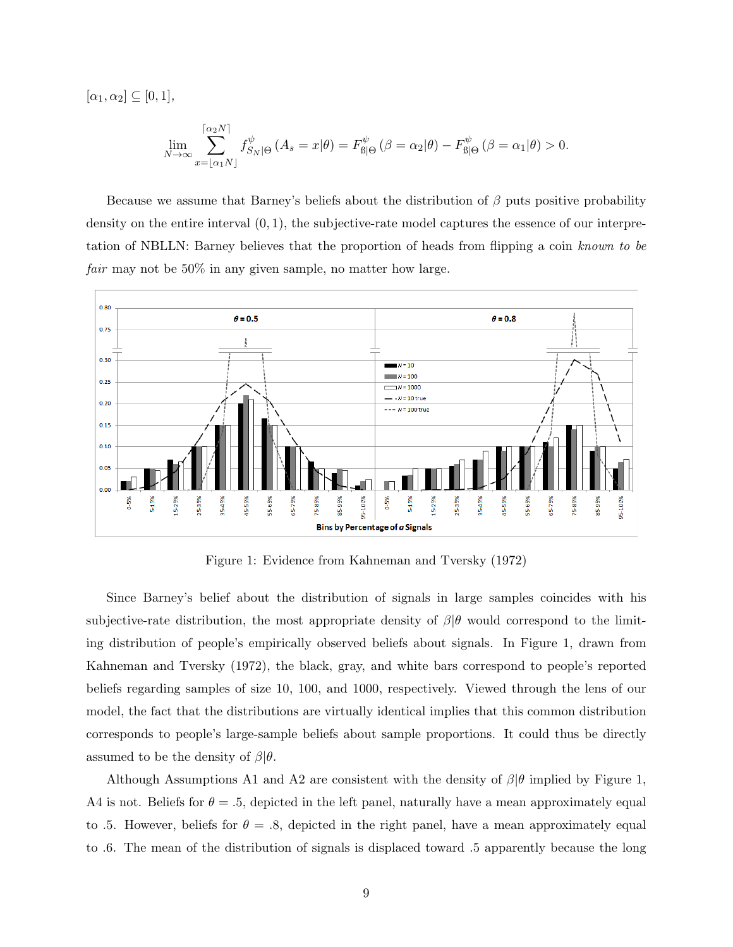$[\alpha_1, \alpha_2] \subseteq [0, 1],$ 

$$
\lim_{N \to \infty} \sum_{x=\lfloor \alpha_1 N \rfloor}^{\lceil \alpha_2 N \rceil} f_{S_N|\Theta}^{\psi} \left( A_s = x | \theta \right) = F_{\text{B}|\Theta}^{\psi} \left( \beta = \alpha_2 | \theta \right) - F_{\text{B}|\Theta}^{\psi} \left( \beta = \alpha_1 | \theta \right) > 0.
$$

Because we assume that Barney's beliefs about the distribution of  $\beta$  puts positive probability density on the entire interval  $(0, 1)$ , the subjective-rate model captures the essence of our interpretation of NBLLN: Barney believes that the proportion of heads from flipping a coin known to be fair may not be 50% in any given sample, no matter how large.



Figure 1: Evidence from Kahneman and Tversky (1972)

Since Barney's belief about the distribution of signals in large samples coincides with his subjective-rate distribution, the most appropriate density of  $\beta|\theta$  would correspond to the limiting distribution of people's empirically observed beliefs about signals. In Figure 1, drawn from Kahneman and Tversky (1972), the black, gray, and white bars correspond to people's reported beliefs regarding samples of size 10, 100, and 1000, respectively. Viewed through the lens of our model, the fact that the distributions are virtually identical implies that this common distribution corresponds to people's large-sample beliefs about sample proportions. It could thus be directly assumed to be the density of  $\beta|\theta$ .

Although Assumptions A1 and A2 are consistent with the density of  $\beta|\theta$  implied by Figure 1, A4 is not. Beliefs for  $\theta = 0.5$ , depicted in the left panel, naturally have a mean approximately equal to .5. However, beliefs for  $\theta = .8$ , depicted in the right panel, have a mean approximately equal to .6. The mean of the distribution of signals is displaced toward .5 apparently because the long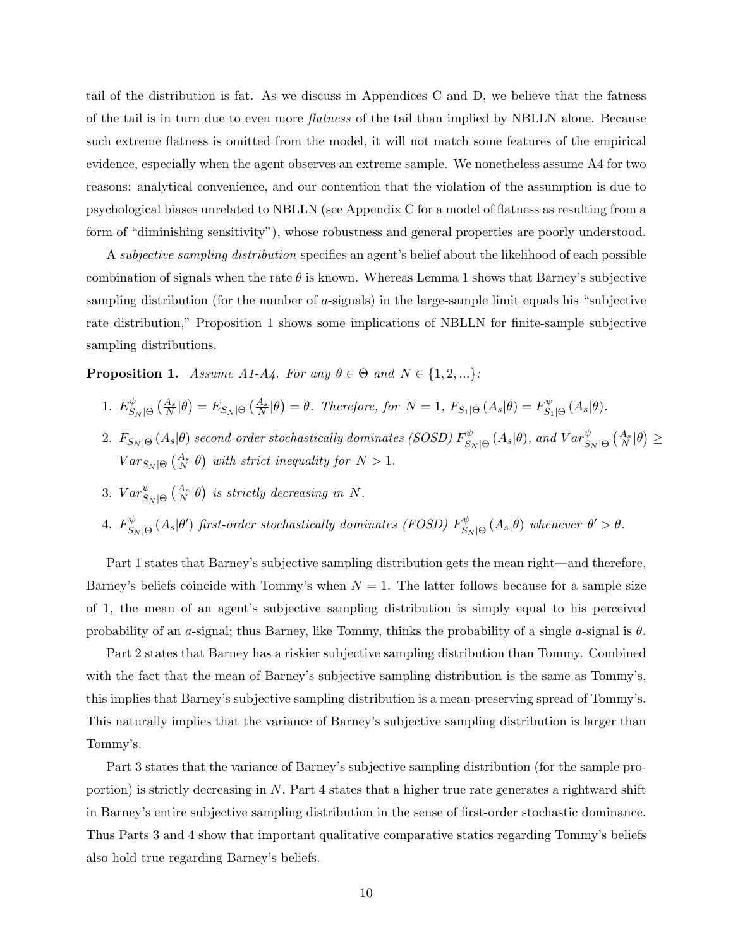tail of the distribution is fat. As we discuss in Appendices C and D, we believe that the fatness of the tail is in turn due to even more flatness of the tail than implied by NBLLN alone. Because such extreme flatness is omitted from the model, it will not match some features of the empirical evidence, especially when the agent observes an extreme sample. We nonetheless assume A4 for two reasons: analytical convenience, and our contention that the violation of the assumption is due to psychological biases unrelated to NBLLN (see Appendix C for a model of flatness as resulting from a form of "diminishing sensitivity"), whose robustness and general properties are poorly understood.

A subjective sampling distribution specifies an agent's belief about the likelihood of each possible combination of signals when the rate  $\theta$  is known. Whereas Lemma 1 shows that Barney's subjective sampling distribution (for the number of a-signals) in the large-sample limit equals his "subjective rate distribution," Proposition 1 shows some implications of NBLLN for finite-sample subjective sampling distributions.

**Proposition 1.** Assume A1-A4. For any  $\theta \in \Theta$  and  $N \in \{1, 2, ...\}$ :

1. 
$$
E_{S_N|\Theta}^{\psi}(\frac{A_s}{N}|\theta) = E_{S_N|\Theta}(\frac{A_s}{N}|\theta) = \theta
$$
. Therefore, for  $N = 1$ ,  $F_{S_1|\Theta}(A_s|\theta) = F_{S_1|\Theta}^{\psi}(A_s|\theta)$ .

- $2. \ \, F_{S_N|\Theta}\left(A_s|\theta\right)$  second-order stochastically dominates (SOSD)  $F_{S_i}^{\psi}$  $\int_{S_N|\Theta}^{\psi}(A_s|\theta)$ , and  $Var_{S_N|\Theta}^{\psi}(\frac{A_s}{N}|\theta) \ge$  $Var_{S_N|\Theta}\left(\frac{A_s}{N}|\theta\right)$  with strict inequality for  $N > 1$ .
- 3.  $Var_{S_N|\Theta}^{\psi}(\frac{A_s}{N}|\theta)$  is strictly decreasing in N.
- 4.  $F_S^{\psi}$  $\mathcal{S}_{S_N|\Theta}^{,\psi}\left(A_s|\theta'\right)$  first-order stochastically dominates (FOSD)  $F_{S_N}^{\psi}$  $\int_{S_N|\Theta}^{\psi} (A_s|\theta)$  whenever  $\theta' > \theta$ .

Part 1 states that Barney's subjective sampling distribution gets the mean right—and therefore, Barney's beliefs coincide with Tommy's when  $N = 1$ . The latter follows because for a sample size of 1, the mean of an agent's subjective sampling distribution is simply equal to his perceived probability of an a-signal; thus Barney, like Tommy, thinks the probability of a single a-signal is  $\theta$ .

Part 2 states that Barney has a riskier subjective sampling distribution than Tommy. Combined with the fact that the mean of Barney's subjective sampling distribution is the same as Tommy's, this implies that Barney's subjective sampling distribution is a mean-preserving spread of Tommy's. This naturally implies that the variance of Barney's subjective sampling distribution is larger than Tommy's.

Part 3 states that the variance of Barney's subjective sampling distribution (for the sample proportion) is strictly decreasing in  $N$ . Part 4 states that a higher true rate generates a rightward shift in Barney's entire subjective sampling distribution in the sense of first-order stochastic dominance. Thus Parts 3 and 4 show that important qualitative comparative statics regarding Tommy's beliefs also hold true regarding Barney's beliefs.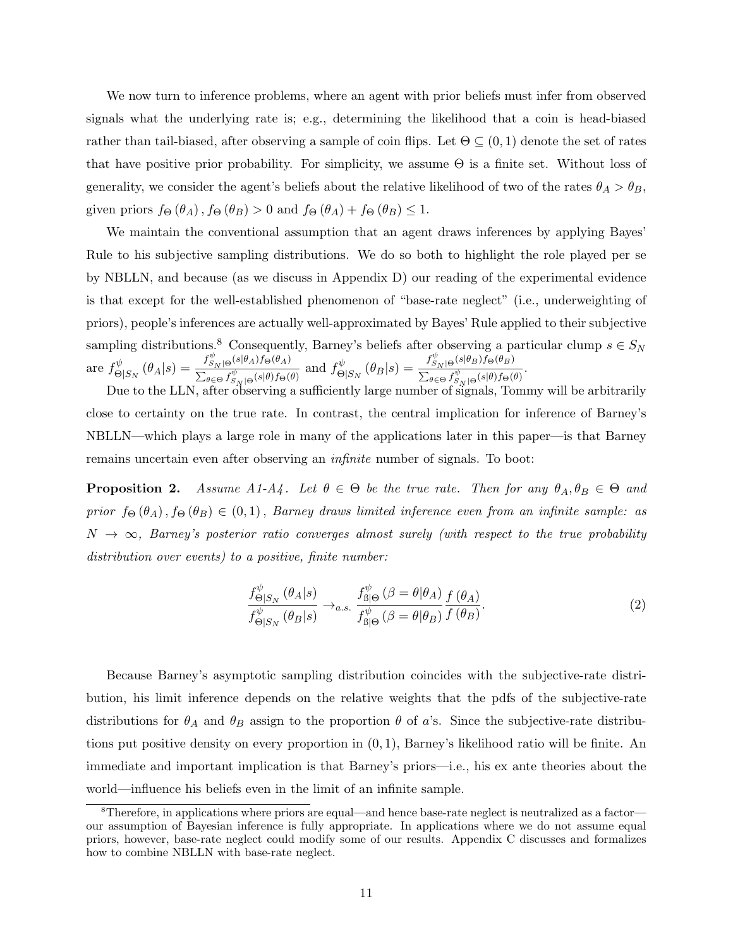We now turn to inference problems, where an agent with prior beliefs must infer from observed signals what the underlying rate is; e.g., determining the likelihood that a coin is head-biased rather than tail-biased, after observing a sample of coin flips. Let  $\Theta \subseteq (0,1)$  denote the set of rates that have positive prior probability. For simplicity, we assume  $\Theta$  is a finite set. Without loss of generality, we consider the agent's beliefs about the relative likelihood of two of the rates  $\theta_A > \theta_B$ , given priors  $f_{\Theta}(\theta_A)$ ,  $f_{\Theta}(\theta_B) > 0$  and  $f_{\Theta}(\theta_A) + f_{\Theta}(\theta_B) \leq 1$ .

We maintain the conventional assumption that an agent draws inferences by applying Bayes' Rule to his subjective sampling distributions. We do so both to highlight the role played per se by NBLLN, and because (as we discuss in Appendix D) our reading of the experimental evidence is that except for the well-established phenomenon of "base-rate neglect" (i.e., underweighting of priors), people's inferences are actually well-approximated by Bayes' Rule applied to their subjective sampling distributions.<sup>8</sup> Consequently, Barney's beliefs after observing a particular clump  $s \in S_N$ are  $f^{\psi}_{\alpha}$  $\overset{\psi}{\Theta}|_{S_N}(\theta_A|s) = \frac{f_{S_N|\Theta}^{\psi}(s|\theta_A)f_{\Theta}(\theta_A)}{\sum_{a \subset \Theta} f_{S_N}^{\psi}(s|\theta)f_{\Theta}(s)}$  $\frac{f_{S_N|\Theta}(s|\theta_A)f_{\Theta}(\theta_A)}{\sum_{\theta \in \Theta} f_{S_N|\Theta}^{\psi}(s|\theta)f_{\Theta}(\theta)}$  and  $f_{\Theta}^{\psi}$  $\overset{\psi}{\Theta}|_{S_N}(\theta_B|s) = \frac{f_{S_N|\Theta}^{\psi}(s|\theta_B)f_{\Theta}(\theta_B)}{\sum_{a \subset \Theta} f_{S_N}^{\psi}(s|\theta)f_{\Theta}(0)}$  $\frac{\sum_{S_N|\Theta} \sum_{j=1}^{\infty} \sum_{j=1}^{\infty} \sum_{j=1}^{\infty} \sum_{j=1}^{\infty} \sum_{j=1}^{\infty} \sum_{j=1}^{\infty} \sum_{j=1}^{\infty} \sum_{j=1}^{\infty} \sum_{j=1}^{\infty} \sum_{j=1}^{\infty} \sum_{j=1}^{\infty} \sum_{j=1}^{\infty} \sum_{j=1}^{\infty} \sum_{j=1}^{\infty} \sum_{j=1}^{\infty} \sum_{j=1}^{\infty} \sum_{j=1}^{\infty} \sum_{j=1$ 

Due to the LLN, after observing a sufficiently large number of signals, Tommy will be arbitrarily close to certainty on the true rate. In contrast, the central implication for inference of Barney's NBLLN—which plays a large role in many of the applications later in this paper—is that Barney remains uncertain even after observing an infinite number of signals. To boot:

**Proposition 2.** Assume A1-A4. Let  $\theta \in \Theta$  be the true rate. Then for any  $\theta_A, \theta_B \in \Theta$  and prior  $f_{\Theta}(\theta_A)$ ,  $f_{\Theta}(\theta_B) \in (0,1)$ , Barney draws limited inference even from an infinite sample: as  $N \to \infty$ , Barney's posterior ratio converges almost surely (with respect to the true probability distribution over events) to a positive, finite number:

$$
\frac{f_{\Theta|S_N}^{\psi}(\theta_A|s)}{f_{\Theta|S_N}^{\psi}(\theta_B|s)} \to_{a.s.} \frac{f_{\text{B}|\Theta}^{\psi}(\beta = \theta|\theta_A)}{f_{\text{B}|\Theta}^{\psi}(\beta = \theta|\theta_B)} \frac{f(\theta_A)}{f(\theta_B)}.
$$
\n(2)

Because Barney's asymptotic sampling distribution coincides with the subjective-rate distribution, his limit inference depends on the relative weights that the pdfs of the subjective-rate distributions for  $\theta_A$  and  $\theta_B$  assign to the proportion  $\theta$  of a's. Since the subjective-rate distributions put positive density on every proportion in (0, 1), Barney's likelihood ratio will be finite. An immediate and important implication is that Barney's priors—i.e., his ex ante theories about the world—influence his beliefs even in the limit of an infinite sample.

<sup>8</sup>Therefore, in applications where priors are equal—and hence base-rate neglect is neutralized as a factor our assumption of Bayesian inference is fully appropriate. In applications where we do not assume equal priors, however, base-rate neglect could modify some of our results. Appendix C discusses and formalizes how to combine NBLLN with base-rate neglect.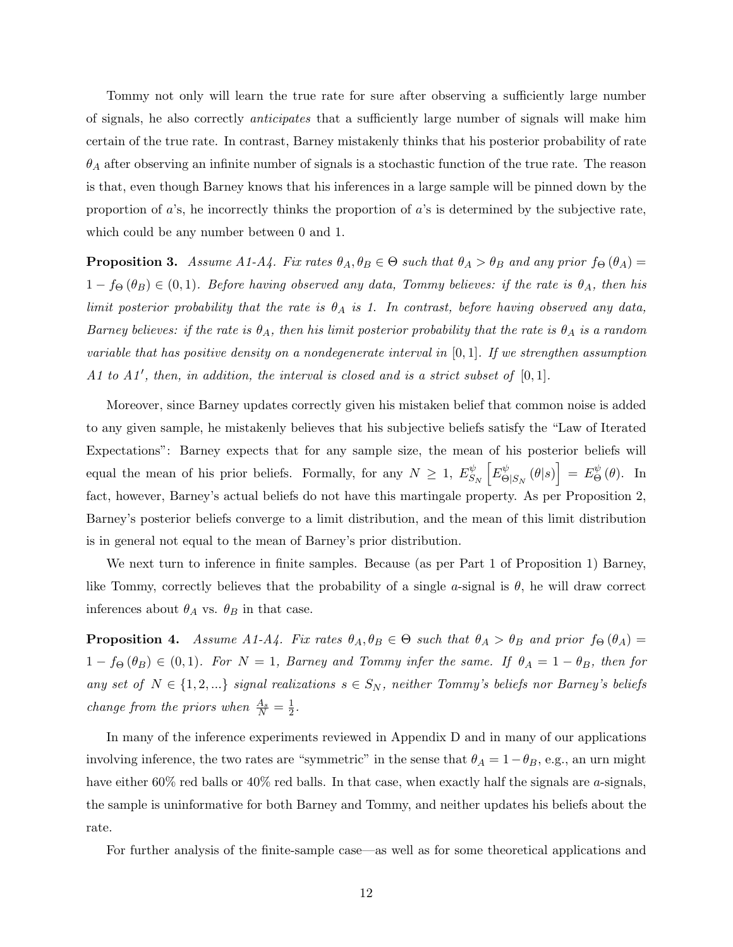Tommy not only will learn the true rate for sure after observing a sufficiently large number of signals, he also correctly anticipates that a sufficiently large number of signals will make him certain of the true rate. In contrast, Barney mistakenly thinks that his posterior probability of rate  $\theta_A$  after observing an infinite number of signals is a stochastic function of the true rate. The reason is that, even though Barney knows that his inferences in a large sample will be pinned down by the proportion of  $a$ 's, he incorrectly thinks the proportion of  $a$ 's is determined by the subjective rate, which could be any number between 0 and 1.

**Proposition 3.** Assume A1-A4. Fix rates  $\theta_A, \theta_B \in \Theta$  such that  $\theta_A > \theta_B$  and any prior  $f_{\Theta}(\theta_A) =$  $1 - f_{\Theta}(\theta_B) \in (0, 1)$ . Before having observed any data, Tommy believes: if the rate is  $\theta_A$ , then his limit posterior probability that the rate is  $\theta_A$  is 1. In contrast, before having observed any data, Barney believes: if the rate is  $\theta_A$ , then his limit posterior probability that the rate is  $\theta_A$  is a random variable that has positive density on a nondegenerate interval in  $[0, 1]$ . If we strengthen assumption A1 to A1', then, in addition, the interval is closed and is a strict subset of  $[0,1]$ .

Moreover, since Barney updates correctly given his mistaken belief that common noise is added to any given sample, he mistakenly believes that his subjective beliefs satisfy the "Law of Iterated Expectations": Barney expects that for any sample size, the mean of his posterior beliefs will equal the mean of his prior beliefs. Formally, for any  $N \geq 1$ ,  $E_S^{\psi}$  $\frac{\psi}{S_N}\left[E^\psi_\Theta\right]$  $\left[ \begin{smallmatrix} \phi \ \Theta|_{S_N} \end{smallmatrix} \left( \theta | s \right) \right] \: = \: E^{\psi}_{\Theta}$  $\mathop{\Theta}\limits^{\psi}(\theta)$ . In fact, however, Barney's actual beliefs do not have this martingale property. As per Proposition 2, Barney's posterior beliefs converge to a limit distribution, and the mean of this limit distribution is in general not equal to the mean of Barney's prior distribution.

We next turn to inference in finite samples. Because (as per Part 1 of Proposition 1) Barney, like Tommy, correctly believes that the probability of a single a-signal is  $\theta$ , he will draw correct inferences about  $\theta_A$  vs.  $\theta_B$  in that case.

**Proposition 4.** Assume A1-A4. Fix rates  $\theta_A, \theta_B \in \Theta$  such that  $\theta_A > \theta_B$  and prior  $f_{\Theta}(\theta_A) =$  $1 - f_{\Theta}(\theta_B) \in (0, 1)$ . For  $N = 1$ , Barney and Tommy infer the same. If  $\theta_A = 1 - \theta_B$ , then for any set of  $N \in \{1, 2, ...\}$  signal realizations  $s \in S_N$ , neither Tommy's beliefs nor Barney's beliefs change from the priors when  $\frac{A_s}{N} = \frac{1}{2}$  $\frac{1}{2}$ .

In many of the inference experiments reviewed in Appendix D and in many of our applications involving inference, the two rates are "symmetric" in the sense that  $\theta_A = 1 - \theta_B$ , e.g., an urn might have either 60% red balls or 40% red balls. In that case, when exactly half the signals are a-signals, the sample is uninformative for both Barney and Tommy, and neither updates his beliefs about the rate.

For further analysis of the finite-sample case—as well as for some theoretical applications and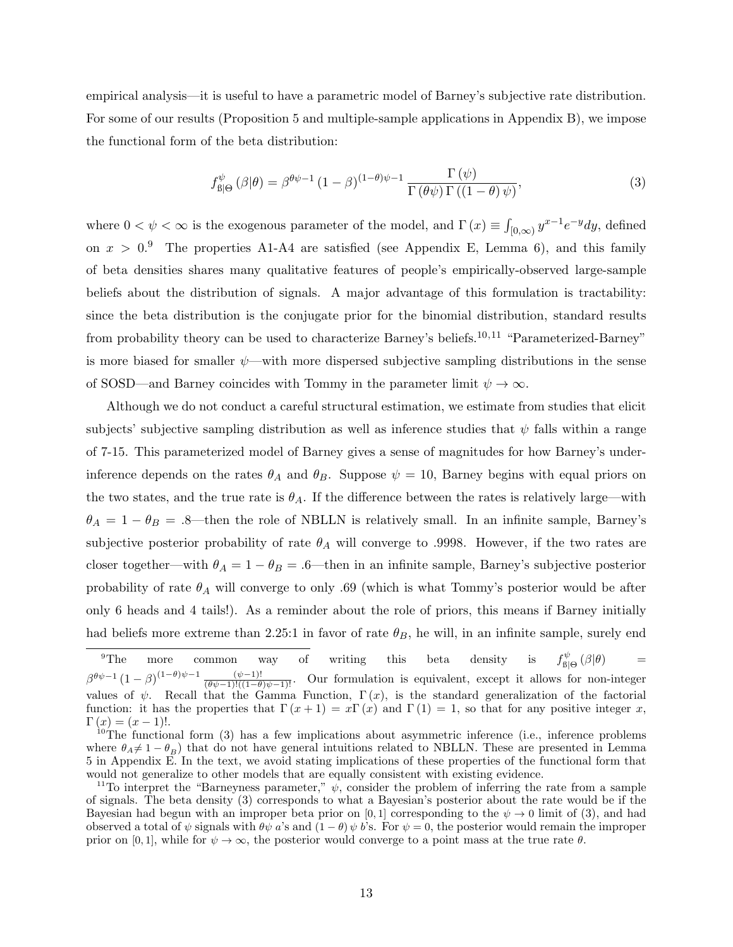empirical analysis—it is useful to have a parametric model of Barney's subjective rate distribution. For some of our results (Proposition 5 and multiple-sample applications in Appendix B), we impose the functional form of the beta distribution:

$$
f^{\psi}_{\mathcal{B}|\Theta}(\beta|\theta) = \beta^{\theta\psi - 1} (1 - \beta)^{(1 - \theta)\psi - 1} \frac{\Gamma(\psi)}{\Gamma(\theta\psi)\Gamma((1 - \theta)\psi)},
$$
\n(3)

where  $0 < \psi < \infty$  is the exogenous parameter of the model, and  $\Gamma(x) \equiv \int_{[0,\infty)} y^{x-1} e^{-y} dy$ , defined on  $x > 0.9$  The properties A1-A4 are satisfied (see Appendix E, Lemma 6), and this family of beta densities shares many qualitative features of people's empirically-observed large-sample beliefs about the distribution of signals. A major advantage of this formulation is tractability: since the beta distribution is the conjugate prior for the binomial distribution, standard results from probability theory can be used to characterize Barney's beliefs.10,<sup>11</sup> "Parameterized-Barney" is more biased for smaller  $\psi$ —with more dispersed subjective sampling distributions in the sense of SOSD—and Barney coincides with Tommy in the parameter limit  $\psi \to \infty$ .

Although we do not conduct a careful structural estimation, we estimate from studies that elicit subjects' subjective sampling distribution as well as inference studies that  $\psi$  falls within a range of 7-15. This parameterized model of Barney gives a sense of magnitudes for how Barney's underinference depends on the rates  $\theta_A$  and  $\theta_B$ . Suppose  $\psi = 10$ , Barney begins with equal priors on the two states, and the true rate is  $\theta_A$ . If the difference between the rates is relatively large—with  $\theta_A = 1 - \theta_B = .8$ —then the role of NBLLN is relatively small. In an infinite sample, Barney's subjective posterior probability of rate  $\theta_A$  will converge to .9998. However, if the two rates are closer together—with  $\theta_A = 1 - \theta_B = .6$ —then in an infinite sample, Barney's subjective posterior probability of rate  $\theta_A$  will converge to only .69 (which is what Tommy's posterior would be after only 6 heads and 4 tails!). As a reminder about the role of priors, this means if Barney initially had beliefs more extreme than 2.25:1 in favor of rate  $\theta_B$ , he will, in an infinite sample, surely end

 $9^9$ The more common way of writing this beta density is f ψ  $\mathcal{L}_{\text{B}|\Theta}^{\psi}(\beta|\theta) =$  $\beta^{\theta\psi-1}(1-\beta)$  $\frac{(\mu-\theta)\psi-1}{(\theta\psi-1)!((1-\theta)\psi-1)!}$ . Our formulation is equivalent, except it allows for non-integer values of  $\psi$ . Recall that the Gamma Function,  $\Gamma(x)$ , is the standard generalization of the factorial function: it has the properties that  $\Gamma(x+1) = x\Gamma(x)$  and  $\Gamma(1) = 1$ , so that for any positive integer x,  $\Gamma(x) = (x - 1)!$ .

<sup>&</sup>lt;sup>10</sup>The functional form (3) has a few implications about asymmetric inference (i.e., inference problems where  $\theta_A \neq 1 - \theta_B$ ) that do not have general intuitions related to NBLLN. These are presented in Lemma 5 in Appendix E. In the text, we avoid stating implications of these properties of the functional form that would not generalize to other models that are equally consistent with existing evidence.

<sup>&</sup>lt;sup>11</sup>To interpret the "Barneyness parameter,"  $\psi$ , consider the problem of inferring the rate from a sample of signals. The beta density (3) corresponds to what a Bayesian's posterior about the rate would be if the Bayesian had begun with an improper beta prior on [0, 1] corresponding to the  $\psi \to 0$  limit of (3), and had observed a total of  $\psi$  signals with  $\theta \psi$  a's and  $(1 - \theta) \psi$  b's. For  $\psi = 0$ , the posterior would remain the improper prior on [0, 1], while for  $\psi \to \infty$ , the posterior would converge to a point mass at the true rate  $\theta$ .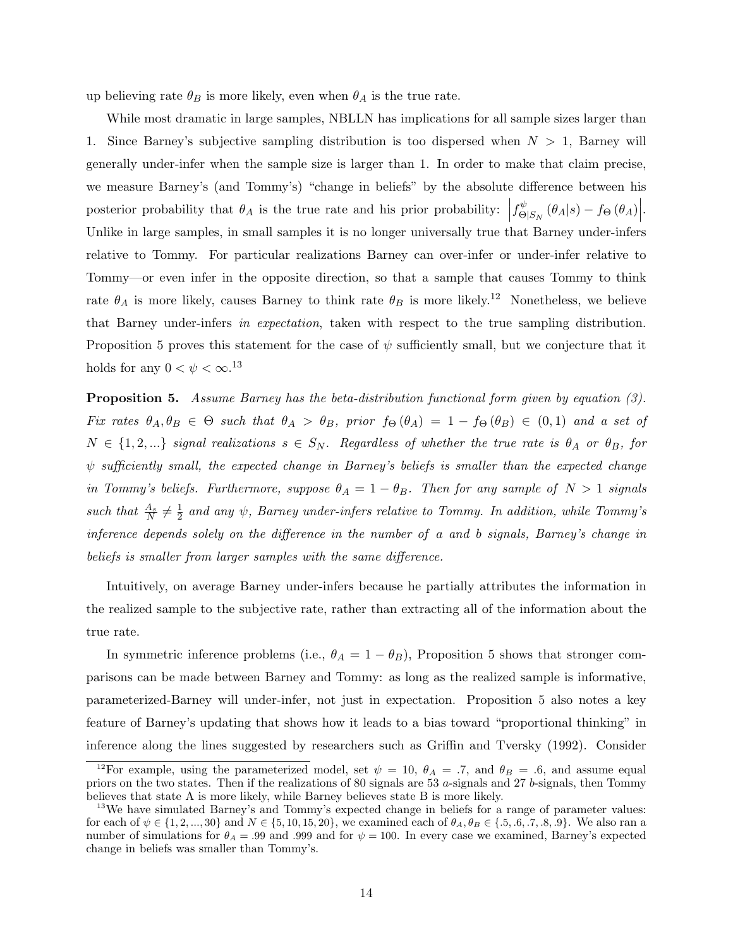up believing rate  $\theta_B$  is more likely, even when  $\theta_A$  is the true rate.

While most dramatic in large samples, NBLLN has implications for all sample sizes larger than 1. Since Barney's subjective sampling distribution is too dispersed when  $N > 1$ , Barney will generally under-infer when the sample size is larger than 1. In order to make that claim precise, we measure Barney's (and Tommy's) "change in beliefs" by the absolute difference between his posterior probability that  $\theta_A$  is the true rate and his prior probability:  $\left|f_{\Theta}^{\psi}\right|$  $\int_{\Theta|S_N}^{\psi} (\theta_A|s) - f_{\Theta} (\theta_A) \Big|$ Unlike in large samples, in small samples it is no longer universally true that Barney under-infers relative to Tommy. For particular realizations Barney can over-infer or under-infer relative to Tommy—or even infer in the opposite direction, so that a sample that causes Tommy to think rate  $\theta_A$  is more likely, causes Barney to think rate  $\theta_B$  is more likely.<sup>12</sup> Nonetheless, we believe that Barney under-infers in expectation, taken with respect to the true sampling distribution. Proposition 5 proves this statement for the case of  $\psi$  sufficiently small, but we conjecture that it holds for any  $0 < \psi < \infty$ .<sup>13</sup>

**Proposition 5.** Assume Barney has the beta-distribution functional form given by equation (3). Fix rates  $\theta_A, \theta_B \in \Theta$  such that  $\theta_A > \theta_B$ , prior  $f_{\Theta}(\theta_A) = 1 - f_{\Theta}(\theta_B) \in (0,1)$  and a set of  $N \in \{1, 2, ...\}$  signal realizations  $s \in S_N$ . Regardless of whether the true rate is  $\theta_A$  or  $\theta_B$ , for  $\psi$  sufficiently small, the expected change in Barney's beliefs is smaller than the expected change in Tommy's beliefs. Furthermore, suppose  $\theta_A = 1 - \theta_B$ . Then for any sample of  $N > 1$  signals such that  $\frac{A_s}{N} \neq \frac{1}{2}$  $\frac{1}{2}$  and any  $\psi$ , Barney under-infers relative to Tommy. In addition, while Tommy's inference depends solely on the difference in the number of a and b signals, Barney's change in beliefs is smaller from larger samples with the same difference.

Intuitively, on average Barney under-infers because he partially attributes the information in the realized sample to the subjective rate, rather than extracting all of the information about the true rate.

In symmetric inference problems (i.e.,  $\theta_A = 1 - \theta_B$ ), Proposition 5 shows that stronger comparisons can be made between Barney and Tommy: as long as the realized sample is informative, parameterized-Barney will under-infer, not just in expectation. Proposition 5 also notes a key feature of Barney's updating that shows how it leads to a bias toward "proportional thinking" in inference along the lines suggested by researchers such as Griffin and Tversky (1992). Consider

<sup>&</sup>lt;sup>12</sup>For example, using the parameterized model, set  $\psi = 10$ ,  $\theta_A = .7$ , and  $\theta_B = .6$ , and assume equal priors on the two states. Then if the realizations of 80 signals are 53 a-signals and 27 b-signals, then Tommy believes that state A is more likely, while Barney believes state B is more likely.

<sup>&</sup>lt;sup>13</sup>We have simulated Barney's and Tommy's expected change in beliefs for a range of parameter values: for each of  $\psi \in \{1, 2, ..., 30\}$  and  $N \in \{5, 10, 15, 20\}$ , we examined each of  $\theta_A, \theta_B \in \{.5, .6, .7, .8, .9\}$ . We also ran a number of simulations for  $\theta_A = .99$  and .999 and for  $\psi = 100$ . In every case we examined, Barney's expected change in beliefs was smaller than Tommy's.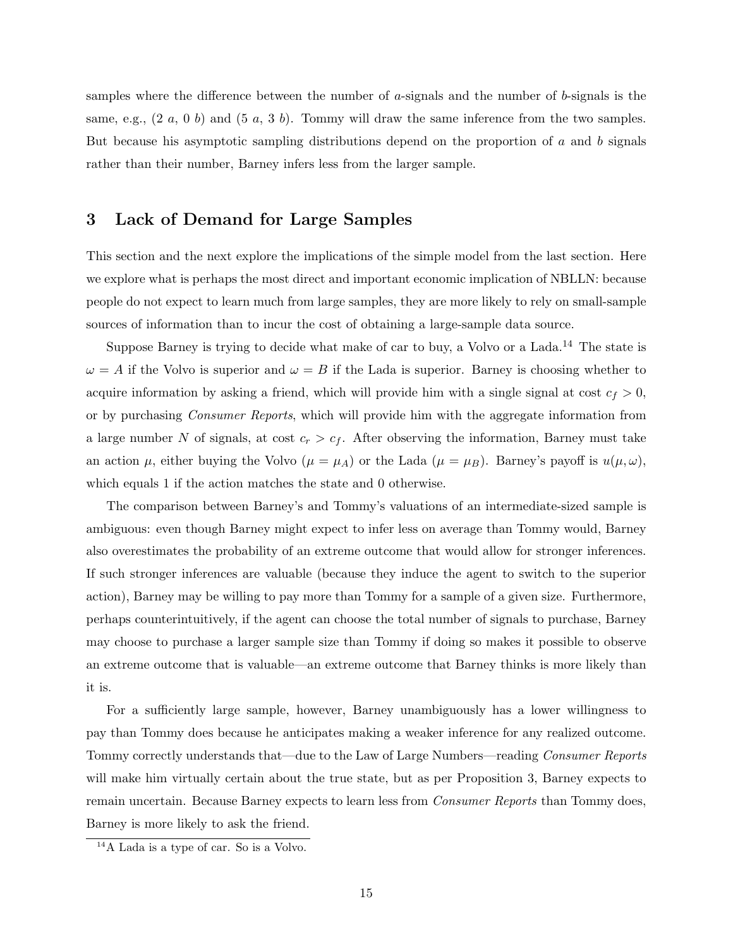samples where the difference between the number of  $a$ -signals and the number of  $b$ -signals is the same, e.g.,  $(2\ a\ 0\ b)$  and  $(5\ a\ 3\ b)$ . Tommy will draw the same inference from the two samples. But because his asymptotic sampling distributions depend on the proportion of a and b signals rather than their number, Barney infers less from the larger sample.

### 3 Lack of Demand for Large Samples

This section and the next explore the implications of the simple model from the last section. Here we explore what is perhaps the most direct and important economic implication of NBLLN: because people do not expect to learn much from large samples, they are more likely to rely on small-sample sources of information than to incur the cost of obtaining a large-sample data source.

Suppose Barney is trying to decide what make of car to buy, a Volvo or a Lada.<sup>14</sup> The state is  $\omega = A$  if the Volvo is superior and  $\omega = B$  if the Lada is superior. Barney is choosing whether to acquire information by asking a friend, which will provide him with a single signal at cost  $c_f > 0$ , or by purchasing Consumer Reports, which will provide him with the aggregate information from a large number N of signals, at cost  $c_r > c_f$ . After observing the information, Barney must take an action  $\mu$ , either buying the Volvo ( $\mu = \mu_A$ ) or the Lada ( $\mu = \mu_B$ ). Barney's payoff is  $u(\mu, \omega)$ , which equals 1 if the action matches the state and 0 otherwise.

The comparison between Barney's and Tommy's valuations of an intermediate-sized sample is ambiguous: even though Barney might expect to infer less on average than Tommy would, Barney also overestimates the probability of an extreme outcome that would allow for stronger inferences. If such stronger inferences are valuable (because they induce the agent to switch to the superior action), Barney may be willing to pay more than Tommy for a sample of a given size. Furthermore, perhaps counterintuitively, if the agent can choose the total number of signals to purchase, Barney may choose to purchase a larger sample size than Tommy if doing so makes it possible to observe an extreme outcome that is valuable—an extreme outcome that Barney thinks is more likely than it is.

For a sufficiently large sample, however, Barney unambiguously has a lower willingness to pay than Tommy does because he anticipates making a weaker inference for any realized outcome. Tommy correctly understands that—due to the Law of Large Numbers—reading Consumer Reports will make him virtually certain about the true state, but as per Proposition 3, Barney expects to remain uncertain. Because Barney expects to learn less from *Consumer Reports* than Tommy does, Barney is more likely to ask the friend.

<sup>14</sup>A Lada is a type of car. So is a Volvo.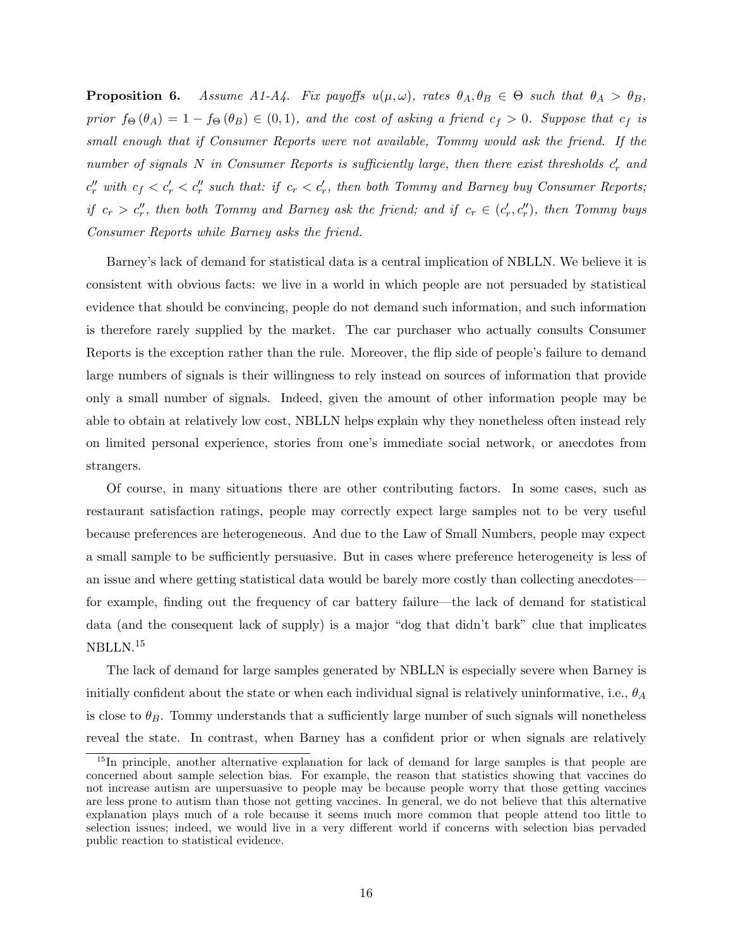**Proposition 6.** Assume A1-A4. Fix payoffs  $u(\mu,\omega)$ , rates  $\theta_A, \theta_B \in \Theta$  such that  $\theta_A > \theta_B$ , prior  $f_{\Theta}(\theta_A) = 1 - f_{\Theta}(\theta_B) \in (0,1)$ , and the cost of asking a friend  $c_f > 0$ . Suppose that  $c_f$  is small enough that if Consumer Reports were not available, Tommy would ask the friend. If the number of signals N in Consumer Reports is sufficiently large, then there exist thresholds  $c'_r$  and  $c''_r$  with  $c_f < c'_r < c''_r$  such that: if  $c_r < c'_r$ , then both Tommy and Barney buy Consumer Reports; if  $c_r > c''_r$ , then both Tommy and Barney ask the friend; and if  $c_r \in (c'_r, c''_r)$ , then Tommy buys Consumer Reports while Barney asks the friend.

Barney's lack of demand for statistical data is a central implication of NBLLN. We believe it is consistent with obvious facts: we live in a world in which people are not persuaded by statistical evidence that should be convincing, people do not demand such information, and such information is therefore rarely supplied by the market. The car purchaser who actually consults Consumer Reports is the exception rather than the rule. Moreover, the flip side of people's failure to demand large numbers of signals is their willingness to rely instead on sources of information that provide only a small number of signals. Indeed, given the amount of other information people may be able to obtain at relatively low cost, NBLLN helps explain why they nonetheless often instead rely on limited personal experience, stories from one's immediate social network, or anecdotes from strangers.

Of course, in many situations there are other contributing factors. In some cases, such as restaurant satisfaction ratings, people may correctly expect large samples not to be very useful because preferences are heterogeneous. And due to the Law of Small Numbers, people may expect a small sample to be sufficiently persuasive. But in cases where preference heterogeneity is less of an issue and where getting statistical data would be barely more costly than collecting anecdotes for example, finding out the frequency of car battery failure—the lack of demand for statistical data (and the consequent lack of supply) is a major "dog that didn't bark" clue that implicates NBLLN.<sup>15</sup>

The lack of demand for large samples generated by NBLLN is especially severe when Barney is initially confident about the state or when each individual signal is relatively uninformative, i.e.,  $\theta_A$ is close to  $\theta_B$ . Tommy understands that a sufficiently large number of such signals will nonetheless reveal the state. In contrast, when Barney has a confident prior or when signals are relatively

<sup>&</sup>lt;sup>15</sup>In principle, another alternative explanation for lack of demand for large samples is that people are concerned about sample selection bias. For example, the reason that statistics showing that vaccines do not increase autism are unpersuasive to people may be because people worry that those getting vaccines are less prone to autism than those not getting vaccines. In general, we do not believe that this alternative explanation plays much of a role because it seems much more common that people attend too little to selection issues; indeed, we would live in a very different world if concerns with selection bias pervaded public reaction to statistical evidence.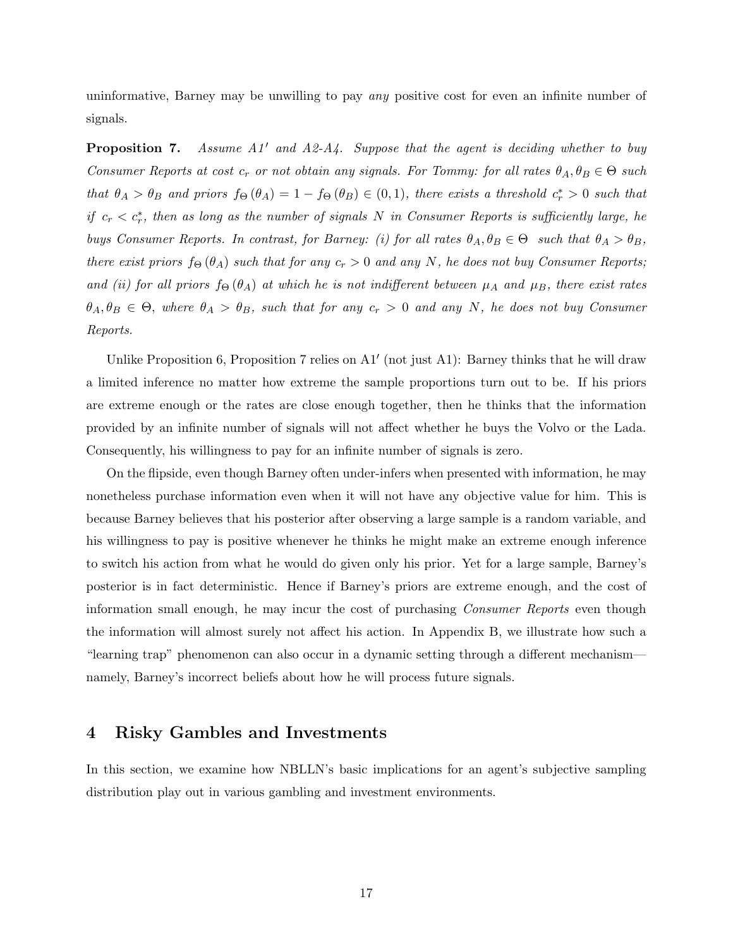uninformative, Barney may be unwilling to pay any positive cost for even an infinite number of signals.

**Proposition 7.** Assume  $A1'$  and  $A2-A4$ . Suppose that the agent is deciding whether to buy Consumer Reports at cost  $c_r$  or not obtain any signals. For Tommy: for all rates  $\theta_A, \theta_B \in \Theta$  such that  $\theta_A > \theta_B$  and priors  $f_{\Theta}(\theta_A) = 1 - f_{\Theta}(\theta_B) \in (0,1)$ , there exists a threshold  $c_r^* > 0$  such that if  $c_r < c_r^*$ , then as long as the number of signals N in Consumer Reports is sufficiently large, he buys Consumer Reports. In contrast, for Barney: (i) for all rates  $\theta_A, \theta_B \in \Theta$  such that  $\theta_A > \theta_B$ , there exist priors  $f_{\Theta}(\theta_A)$  such that for any  $c_r > 0$  and any N, he does not buy Consumer Reports; and (ii) for all priors  $f_{\Theta}(\theta_A)$  at which he is not indifferent between  $\mu_A$  and  $\mu_B$ , there exist rates  $\theta_A, \theta_B \in \Theta$ , where  $\theta_A > \theta_B$ , such that for any  $c_r > 0$  and any N, he does not buy Consumer Reports.

Unlike Proposition 6, Proposition 7 relies on  $A1'$  (not just  $A1$ ): Barney thinks that he will draw a limited inference no matter how extreme the sample proportions turn out to be. If his priors are extreme enough or the rates are close enough together, then he thinks that the information provided by an infinite number of signals will not affect whether he buys the Volvo or the Lada. Consequently, his willingness to pay for an infinite number of signals is zero.

On the flipside, even though Barney often under-infers when presented with information, he may nonetheless purchase information even when it will not have any objective value for him. This is because Barney believes that his posterior after observing a large sample is a random variable, and his willingness to pay is positive whenever he thinks he might make an extreme enough inference to switch his action from what he would do given only his prior. Yet for a large sample, Barney's posterior is in fact deterministic. Hence if Barney's priors are extreme enough, and the cost of information small enough, he may incur the cost of purchasing Consumer Reports even though the information will almost surely not affect his action. In Appendix B, we illustrate how such a "learning trap" phenomenon can also occur in a dynamic setting through a different mechanism namely, Barney's incorrect beliefs about how he will process future signals.

### 4 Risky Gambles and Investments

In this section, we examine how NBLLN's basic implications for an agent's subjective sampling distribution play out in various gambling and investment environments.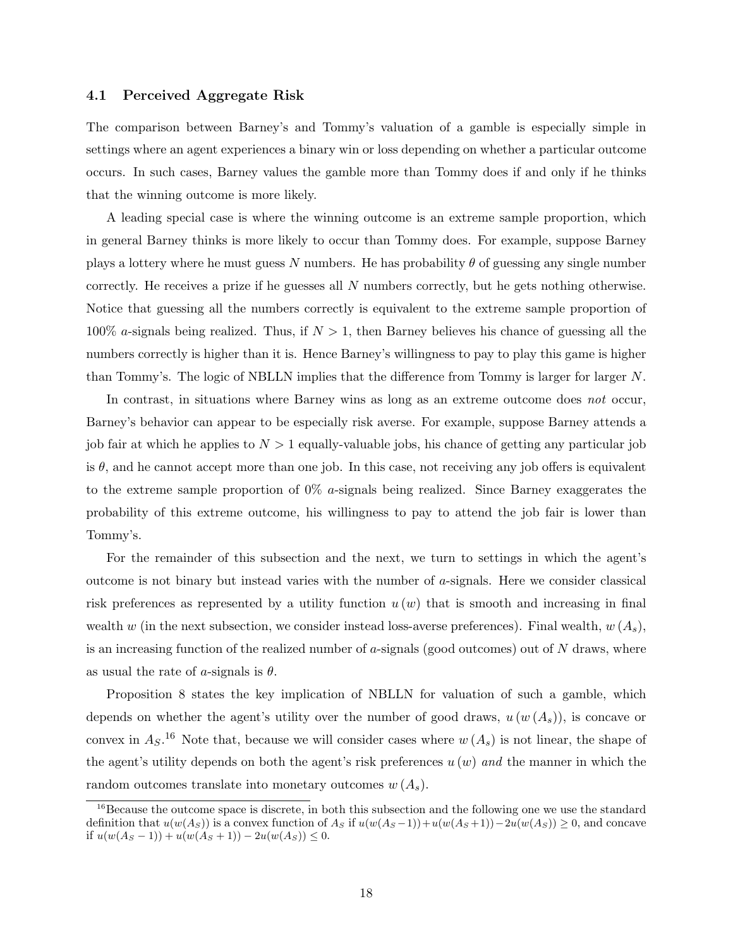#### 4.1 Perceived Aggregate Risk

The comparison between Barney's and Tommy's valuation of a gamble is especially simple in settings where an agent experiences a binary win or loss depending on whether a particular outcome occurs. In such cases, Barney values the gamble more than Tommy does if and only if he thinks that the winning outcome is more likely.

A leading special case is where the winning outcome is an extreme sample proportion, which in general Barney thinks is more likely to occur than Tommy does. For example, suppose Barney plays a lottery where he must guess N numbers. He has probability  $\theta$  of guessing any single number correctly. He receives a prize if he guesses all N numbers correctly, but he gets nothing otherwise. Notice that guessing all the numbers correctly is equivalent to the extreme sample proportion of 100% a-signals being realized. Thus, if  $N > 1$ , then Barney believes his chance of guessing all the numbers correctly is higher than it is. Hence Barney's willingness to pay to play this game is higher than Tommy's. The logic of NBLLN implies that the difference from Tommy is larger for larger N.

In contrast, in situations where Barney wins as long as an extreme outcome does not occur, Barney's behavior can appear to be especially risk averse. For example, suppose Barney attends a job fair at which he applies to  $N > 1$  equally-valuable jobs, his chance of getting any particular job is  $\theta$ , and he cannot accept more than one job. In this case, not receiving any job offers is equivalent to the extreme sample proportion of  $0\%$  a-signals being realized. Since Barney exaggerates the probability of this extreme outcome, his willingness to pay to attend the job fair is lower than Tommy's.

For the remainder of this subsection and the next, we turn to settings in which the agent's outcome is not binary but instead varies with the number of  $a$ -signals. Here we consider classical risk preferences as represented by a utility function  $u(w)$  that is smooth and increasing in final wealth w (in the next subsection, we consider instead loss-averse preferences). Final wealth,  $w(A_s)$ , is an increasing function of the realized number of a-signals (good outcomes) out of  $N$  draws, where as usual the rate of a-signals is  $\theta$ .

Proposition 8 states the key implication of NBLLN for valuation of such a gamble, which depends on whether the agent's utility over the number of good draws,  $u(w(A<sub>s</sub>))$ , is concave or convex in  $A_S$ .<sup>16</sup> Note that, because we will consider cases where  $w(A_s)$  is not linear, the shape of the agent's utility depends on both the agent's risk preferences  $u(w)$  and the manner in which the random outcomes translate into monetary outcomes  $w(A_s)$ .

<sup>&</sup>lt;sup>16</sup>Because the outcome space is discrete, in both this subsection and the following one we use the standard definition that  $u(w(A_S))$  is a convex function of  $A_S$  if  $u(w(A_S - 1)) + u(w(A_S + 1)) - 2u(w(A_S)) \geq 0$ , and concave if  $u(w(A_S - 1)) + u(w(A_S + 1)) - 2u(w(A_S)) \leq 0$ .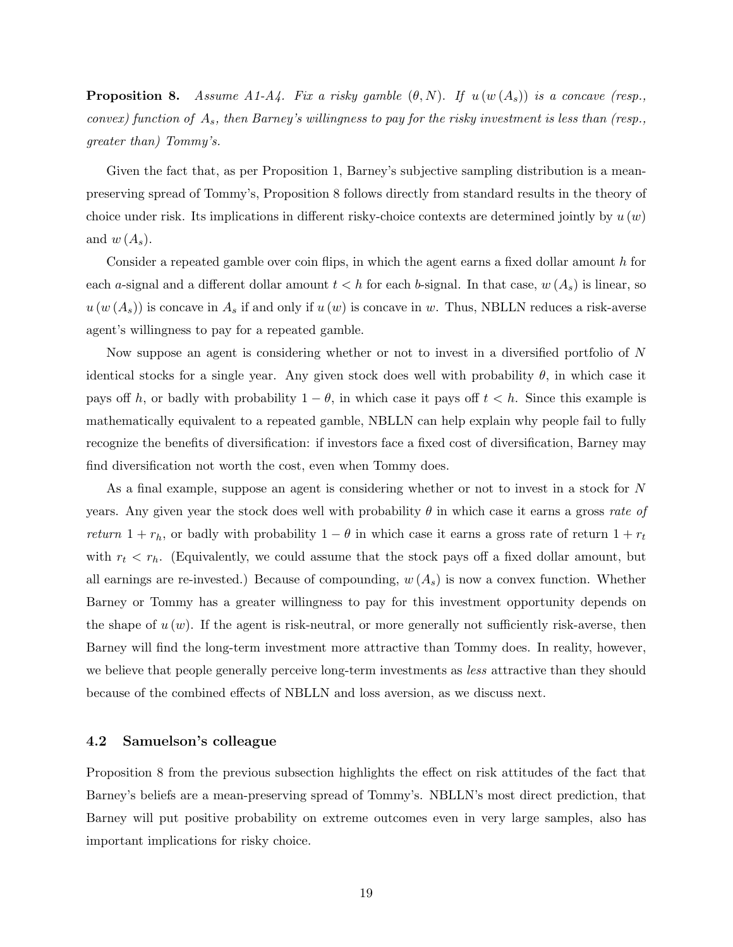**Proposition 8.** Assume A1-A4. Fix a risky gamble  $(\theta, N)$ . If  $u(w(A_s))$  is a concave (resp., convex) function of  $A_s$ , then Barney's willingness to pay for the risky investment is less than (resp., greater than) Tommy's.

Given the fact that, as per Proposition 1, Barney's subjective sampling distribution is a meanpreserving spread of Tommy's, Proposition 8 follows directly from standard results in the theory of choice under risk. Its implications in different risky-choice contexts are determined jointly by  $u(w)$ and  $w(A_s)$ .

Consider a repeated gamble over coin flips, in which the agent earns a fixed dollar amount h for each a-signal and a different dollar amount  $t < h$  for each b-signal. In that case,  $w(A_s)$  is linear, so  $u(w(A<sub>s</sub>))$  is concave in  $A<sub>s</sub>$  if and only if  $u(w)$  is concave in w. Thus, NBLLN reduces a risk-averse agent's willingness to pay for a repeated gamble.

Now suppose an agent is considering whether or not to invest in a diversified portfolio of N identical stocks for a single year. Any given stock does well with probability  $\theta$ , in which case it pays off h, or badly with probability  $1 - \theta$ , in which case it pays off  $t < h$ . Since this example is mathematically equivalent to a repeated gamble, NBLLN can help explain why people fail to fully recognize the benefits of diversification: if investors face a fixed cost of diversification, Barney may find diversification not worth the cost, even when Tommy does.

As a final example, suppose an agent is considering whether or not to invest in a stock for N years. Any given year the stock does well with probability  $\theta$  in which case it earns a gross rate of return  $1 + r_h$ , or badly with probability  $1 - \theta$  in which case it earns a gross rate of return  $1 + r_t$ with  $r_t < r_h$ . (Equivalently, we could assume that the stock pays off a fixed dollar amount, but all earnings are re-invested.) Because of compounding,  $w(A_s)$  is now a convex function. Whether Barney or Tommy has a greater willingness to pay for this investment opportunity depends on the shape of  $u(w)$ . If the agent is risk-neutral, or more generally not sufficiently risk-averse, then Barney will find the long-term investment more attractive than Tommy does. In reality, however, we believe that people generally perceive long-term investments as *less* attractive than they should because of the combined effects of NBLLN and loss aversion, as we discuss next.

#### 4.2 Samuelson's colleague

Proposition 8 from the previous subsection highlights the effect on risk attitudes of the fact that Barney's beliefs are a mean-preserving spread of Tommy's. NBLLN's most direct prediction, that Barney will put positive probability on extreme outcomes even in very large samples, also has important implications for risky choice.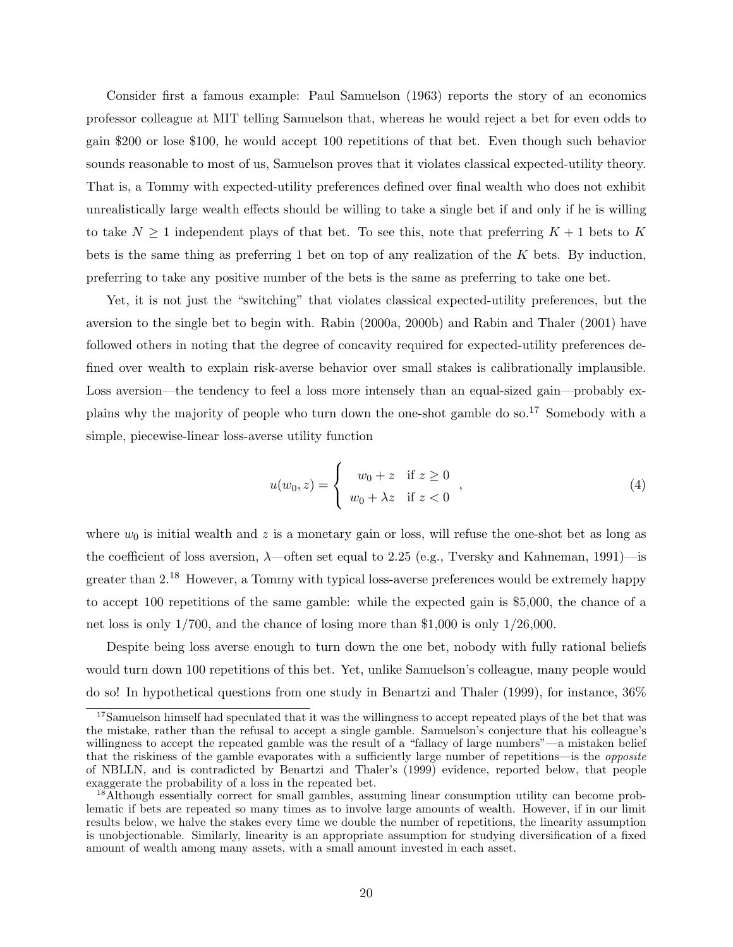Consider first a famous example: Paul Samuelson (1963) reports the story of an economics professor colleague at MIT telling Samuelson that, whereas he would reject a bet for even odds to gain \$200 or lose \$100, he would accept 100 repetitions of that bet. Even though such behavior sounds reasonable to most of us, Samuelson proves that it violates classical expected-utility theory. That is, a Tommy with expected-utility preferences defined over final wealth who does not exhibit unrealistically large wealth effects should be willing to take a single bet if and only if he is willing to take  $N \geq 1$  independent plays of that bet. To see this, note that preferring  $K + 1$  bets to K bets is the same thing as preferring 1 bet on top of any realization of the K bets. By induction, preferring to take any positive number of the bets is the same as preferring to take one bet.

Yet, it is not just the "switching" that violates classical expected-utility preferences, but the aversion to the single bet to begin with. Rabin (2000a, 2000b) and Rabin and Thaler (2001) have followed others in noting that the degree of concavity required for expected-utility preferences defined over wealth to explain risk-averse behavior over small stakes is calibrationally implausible. Loss aversion—the tendency to feel a loss more intensely than an equal-sized gain—probably explains why the majority of people who turn down the one-shot gamble do so.<sup>17</sup> Somebody with a simple, piecewise-linear loss-averse utility function

$$
u(w_0, z) = \begin{cases} w_0 + z & \text{if } z \ge 0 \\ w_0 + \lambda z & \text{if } z < 0 \end{cases},
$$
\n
$$
(4)
$$

where  $w_0$  is initial wealth and z is a monetary gain or loss, will refuse the one-shot bet as long as the coefficient of loss aversion,  $\lambda$ —often set equal to 2.25 (e.g., Tversky and Kahneman, 1991)—is greater than 2.<sup>18</sup> However, a Tommy with typical loss-averse preferences would be extremely happy to accept 100 repetitions of the same gamble: while the expected gain is \$5,000, the chance of a net loss is only 1/700, and the chance of losing more than \$1,000 is only 1/26,000.

Despite being loss averse enough to turn down the one bet, nobody with fully rational beliefs would turn down 100 repetitions of this bet. Yet, unlike Samuelson's colleague, many people would do so! In hypothetical questions from one study in Benartzi and Thaler (1999), for instance, 36%

<sup>&</sup>lt;sup>17</sup>Samuelson himself had speculated that it was the willingness to accept repeated plays of the bet that was the mistake, rather than the refusal to accept a single gamble. Samuelson's conjecture that his colleague's willingness to accept the repeated gamble was the result of a "fallacy of large numbers"—a mistaken belief that the riskiness of the gamble evaporates with a sufficiently large number of repetitions—is the opposite of NBLLN, and is contradicted by Benartzi and Thaler's (1999) evidence, reported below, that people exaggerate the probability of a loss in the repeated bet.

<sup>18</sup>Although essentially correct for small gambles, assuming linear consumption utility can become problematic if bets are repeated so many times as to involve large amounts of wealth. However, if in our limit results below, we halve the stakes every time we double the number of repetitions, the linearity assumption is unobjectionable. Similarly, linearity is an appropriate assumption for studying diversification of a fixed amount of wealth among many assets, with a small amount invested in each asset.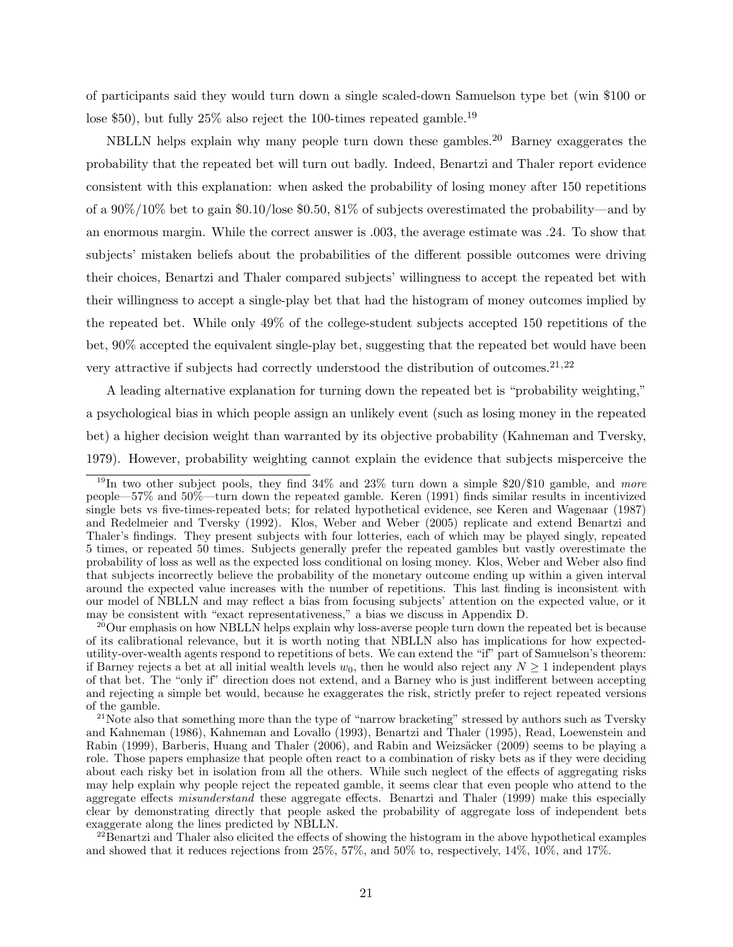of participants said they would turn down a single scaled-down Samuelson type bet (win \$100 or lose \$50), but fully 25% also reject the 100-times repeated gamble.<sup>19</sup>

NBLLN helps explain why many people turn down these gambles.<sup>20</sup> Barney exaggerates the probability that the repeated bet will turn out badly. Indeed, Benartzi and Thaler report evidence consistent with this explanation: when asked the probability of losing money after 150 repetitions of a 90%/10% bet to gain \$0.10/lose \$0.50, 81% of subjects overestimated the probability—and by an enormous margin. While the correct answer is .003, the average estimate was .24. To show that subjects' mistaken beliefs about the probabilities of the different possible outcomes were driving their choices, Benartzi and Thaler compared subjects' willingness to accept the repeated bet with their willingness to accept a single-play bet that had the histogram of money outcomes implied by the repeated bet. While only 49% of the college-student subjects accepted 150 repetitions of the bet, 90% accepted the equivalent single-play bet, suggesting that the repeated bet would have been very attractive if subjects had correctly understood the distribution of outcomes.<sup>21,22</sup>

A leading alternative explanation for turning down the repeated bet is "probability weighting," a psychological bias in which people assign an unlikely event (such as losing money in the repeated bet) a higher decision weight than warranted by its objective probability (Kahneman and Tversky, 1979). However, probability weighting cannot explain the evidence that subjects misperceive the

<sup>&</sup>lt;sup>19</sup>In two other subject pools, they find  $34\%$  and  $23\%$  turn down a simple  $20/10$  gamble, and *more* people—57% and 50%—turn down the repeated gamble. Keren (1991) finds similar results in incentivized single bets vs five-times-repeated bets; for related hypothetical evidence, see Keren and Wagenaar (1987) and Redelmeier and Tversky (1992). Klos, Weber and Weber (2005) replicate and extend Benartzi and Thaler's findings. They present subjects with four lotteries, each of which may be played singly, repeated 5 times, or repeated 50 times. Subjects generally prefer the repeated gambles but vastly overestimate the probability of loss as well as the expected loss conditional on losing money. Klos, Weber and Weber also find that subjects incorrectly believe the probability of the monetary outcome ending up within a given interval around the expected value increases with the number of repetitions. This last finding is inconsistent with our model of NBLLN and may reflect a bias from focusing subjects' attention on the expected value, or it may be consistent with "exact representativeness," a bias we discuss in Appendix D.

<sup>&</sup>lt;sup>20</sup>Our emphasis on how NBLLN helps explain why loss-averse people turn down the repeated bet is because of its calibrational relevance, but it is worth noting that NBLLN also has implications for how expectedutility-over-wealth agents respond to repetitions of bets. We can extend the "if" part of Samuelson's theorem: if Barney rejects a bet at all initial wealth levels  $w_0$ , then he would also reject any  $N \geq 1$  independent plays of that bet. The "only if" direction does not extend, and a Barney who is just indifferent between accepting and rejecting a simple bet would, because he exaggerates the risk, strictly prefer to reject repeated versions of the gamble.

<sup>&</sup>lt;sup>21</sup>Note also that something more than the type of "narrow bracketing" stressed by authors such as Tversky and Kahneman (1986), Kahneman and Lovallo (1993), Benartzi and Thaler (1995), Read, Loewenstein and Rabin (1999), Barberis, Huang and Thaler (2006), and Rabin and Weizsäcker (2009) seems to be playing a role. Those papers emphasize that people often react to a combination of risky bets as if they were deciding about each risky bet in isolation from all the others. While such neglect of the effects of aggregating risks may help explain why people reject the repeated gamble, it seems clear that even people who attend to the aggregate effects misunderstand these aggregate effects. Benartzi and Thaler (1999) make this especially clear by demonstrating directly that people asked the probability of aggregate loss of independent bets exaggerate along the lines predicted by NBLLN.

<sup>&</sup>lt;sup>22</sup>Benartzi and Thaler also elicited the effects of showing the histogram in the above hypothetical examples and showed that it reduces rejections from 25%, 57%, and 50% to, respectively, 14%, 10%, and 17%.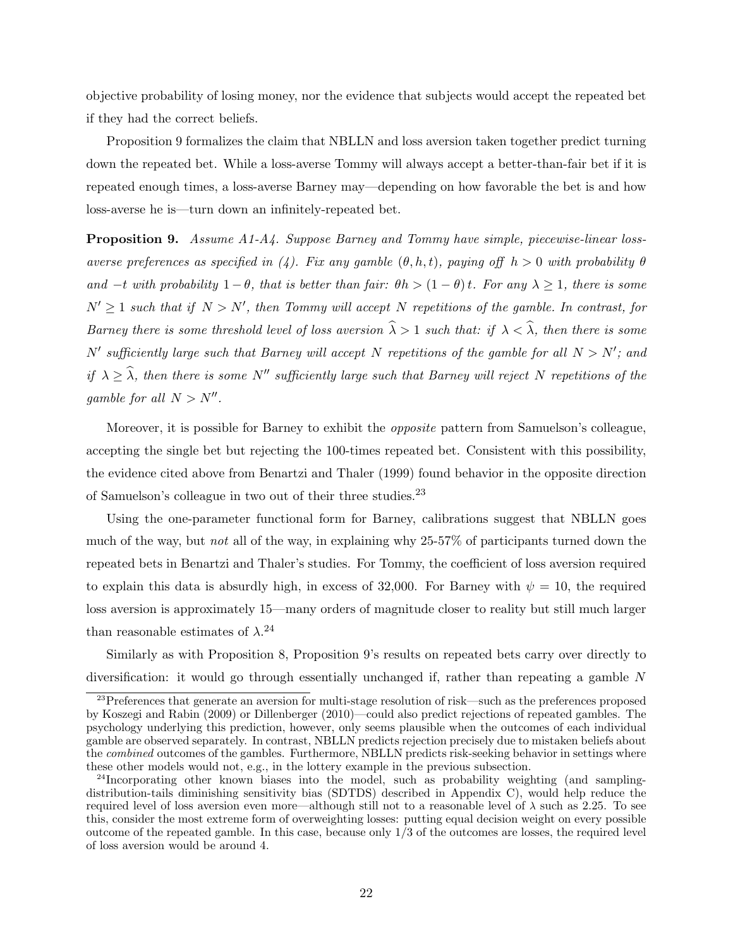objective probability of losing money, nor the evidence that subjects would accept the repeated bet if they had the correct beliefs.

Proposition 9 formalizes the claim that NBLLN and loss aversion taken together predict turning down the repeated bet. While a loss-averse Tommy will always accept a better-than-fair bet if it is repeated enough times, a loss-averse Barney may—depending on how favorable the bet is and how loss-averse he is—turn down an infinitely-repeated bet.

Proposition 9. Assume A1-A4. Suppose Barney and Tommy have simple, piecewise-linear lossaverse preferences as specified in (4). Fix any gamble  $(\theta, h, t)$ , paying off  $h > 0$  with probability  $\theta$ and  $-t$  with probability  $1 - \theta$ , that is better than fair:  $\theta h > (1 - \theta)t$ . For any  $\lambda \ge 1$ , there is some  $N' \geq 1$  such that if  $N > N'$ , then Tommy will accept N repetitions of the gamble. In contrast, for Barney there is some threshold level of loss aversion  $\hat{\lambda} > 1$  such that: if  $\lambda < \hat{\lambda}$ , then there is some N' sufficiently large such that Barney will accept N repetitions of the gamble for all  $N > N'$ ; and if  $\lambda \geq \widehat{\lambda}$ , then there is some N<sup>n</sup> sufficiently large such that Barney will reject N repetitions of the gamble for all  $N > N''$ .

Moreover, it is possible for Barney to exhibit the opposite pattern from Samuelson's colleague, accepting the single bet but rejecting the 100-times repeated bet. Consistent with this possibility, the evidence cited above from Benartzi and Thaler (1999) found behavior in the opposite direction of Samuelson's colleague in two out of their three studies.<sup>23</sup>

Using the one-parameter functional form for Barney, calibrations suggest that NBLLN goes much of the way, but not all of the way, in explaining why 25-57% of participants turned down the repeated bets in Benartzi and Thaler's studies. For Tommy, the coefficient of loss aversion required to explain this data is absurdly high, in excess of 32,000. For Barney with  $\psi = 10$ , the required loss aversion is approximately 15—many orders of magnitude closer to reality but still much larger than reasonable estimates of  $\lambda$ <sup>24</sup>

Similarly as with Proposition 8, Proposition 9's results on repeated bets carry over directly to diversification: it would go through essentially unchanged if, rather than repeating a gamble N

 $23$ Preferences that generate an aversion for multi-stage resolution of risk—such as the preferences proposed by Koszegi and Rabin (2009) or Dillenberger (2010)—could also predict rejections of repeated gambles. The psychology underlying this prediction, however, only seems plausible when the outcomes of each individual gamble are observed separately. In contrast, NBLLN predicts rejection precisely due to mistaken beliefs about the *combined* outcomes of the gambles. Furthermore, NBLLN predicts risk-seeking behavior in settings where these other models would not, e.g., in the lottery example in the previous subsection.

<sup>&</sup>lt;sup>24</sup>Incorporating other known biases into the model, such as probability weighting (and samplingdistribution-tails diminishing sensitivity bias (SDTDS) described in Appendix C), would help reduce the required level of loss aversion even more—although still not to a reasonable level of  $\lambda$  such as 2.25. To see this, consider the most extreme form of overweighting losses: putting equal decision weight on every possible outcome of the repeated gamble. In this case, because only 1/3 of the outcomes are losses, the required level of loss aversion would be around 4.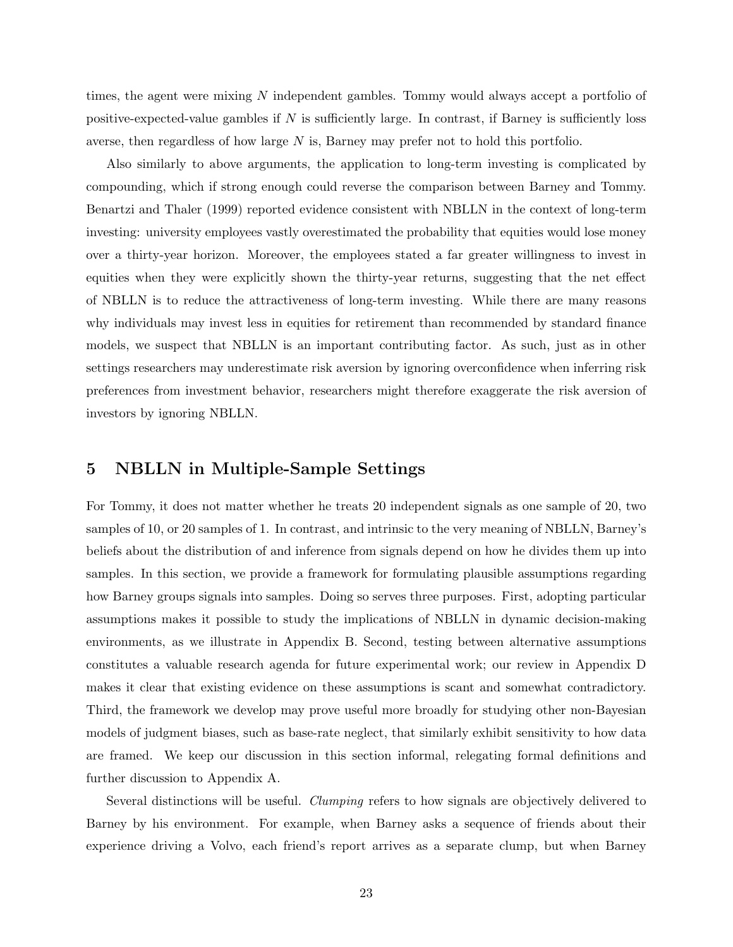times, the agent were mixing N independent gambles. Tommy would always accept a portfolio of positive-expected-value gambles if  $N$  is sufficiently large. In contrast, if Barney is sufficiently loss averse, then regardless of how large N is, Barney may prefer not to hold this portfolio.

Also similarly to above arguments, the application to long-term investing is complicated by compounding, which if strong enough could reverse the comparison between Barney and Tommy. Benartzi and Thaler (1999) reported evidence consistent with NBLLN in the context of long-term investing: university employees vastly overestimated the probability that equities would lose money over a thirty-year horizon. Moreover, the employees stated a far greater willingness to invest in equities when they were explicitly shown the thirty-year returns, suggesting that the net effect of NBLLN is to reduce the attractiveness of long-term investing. While there are many reasons why individuals may invest less in equities for retirement than recommended by standard finance models, we suspect that NBLLN is an important contributing factor. As such, just as in other settings researchers may underestimate risk aversion by ignoring overconfidence when inferring risk preferences from investment behavior, researchers might therefore exaggerate the risk aversion of investors by ignoring NBLLN.

## 5 NBLLN in Multiple-Sample Settings

For Tommy, it does not matter whether he treats 20 independent signals as one sample of 20, two samples of 10, or 20 samples of 1. In contrast, and intrinsic to the very meaning of NBLLN, Barney's beliefs about the distribution of and inference from signals depend on how he divides them up into samples. In this section, we provide a framework for formulating plausible assumptions regarding how Barney groups signals into samples. Doing so serves three purposes. First, adopting particular assumptions makes it possible to study the implications of NBLLN in dynamic decision-making environments, as we illustrate in Appendix B. Second, testing between alternative assumptions constitutes a valuable research agenda for future experimental work; our review in Appendix D makes it clear that existing evidence on these assumptions is scant and somewhat contradictory. Third, the framework we develop may prove useful more broadly for studying other non-Bayesian models of judgment biases, such as base-rate neglect, that similarly exhibit sensitivity to how data are framed. We keep our discussion in this section informal, relegating formal definitions and further discussion to Appendix A.

Several distinctions will be useful. Clumping refers to how signals are objectively delivered to Barney by his environment. For example, when Barney asks a sequence of friends about their experience driving a Volvo, each friend's report arrives as a separate clump, but when Barney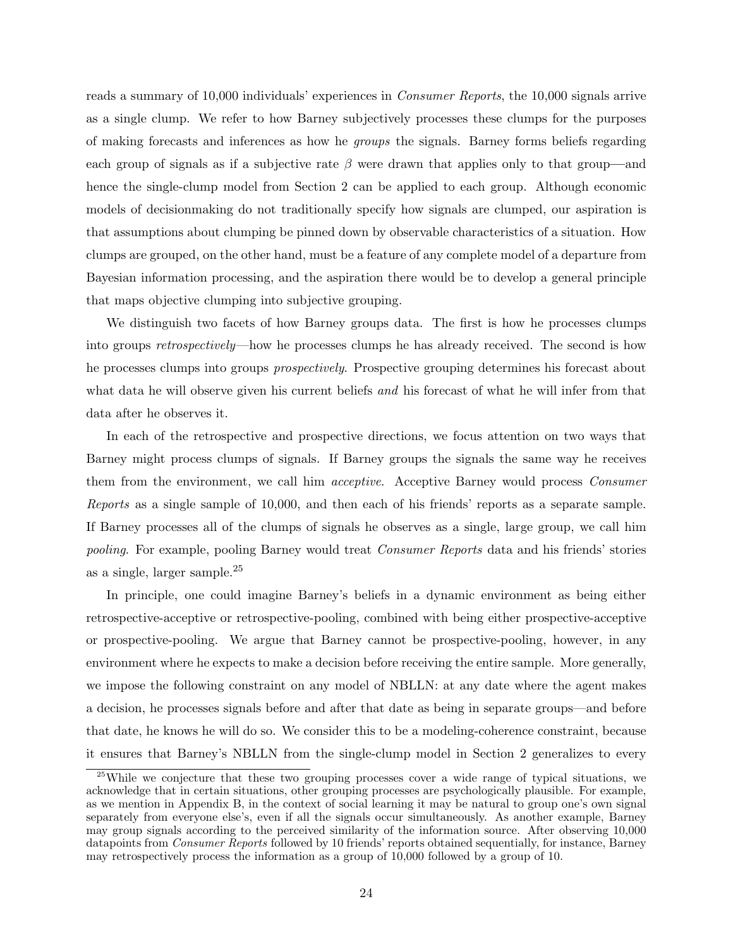reads a summary of 10,000 individuals' experiences in Consumer Reports, the 10,000 signals arrive as a single clump. We refer to how Barney subjectively processes these clumps for the purposes of making forecasts and inferences as how he groups the signals. Barney forms beliefs regarding each group of signals as if a subjective rate  $\beta$  were drawn that applies only to that group—and hence the single-clump model from Section 2 can be applied to each group. Although economic models of decisionmaking do not traditionally specify how signals are clumped, our aspiration is that assumptions about clumping be pinned down by observable characteristics of a situation. How clumps are grouped, on the other hand, must be a feature of any complete model of a departure from Bayesian information processing, and the aspiration there would be to develop a general principle that maps objective clumping into subjective grouping.

We distinguish two facets of how Barney groups data. The first is how he processes clumps into groups retrospectively—how he processes clumps he has already received. The second is how he processes clumps into groups prospectively. Prospective grouping determines his forecast about what data he will observe given his current beliefs and his forecast of what he will infer from that data after he observes it.

In each of the retrospective and prospective directions, we focus attention on two ways that Barney might process clumps of signals. If Barney groups the signals the same way he receives them from the environment, we call him acceptive. Acceptive Barney would process Consumer Reports as a single sample of 10,000, and then each of his friends' reports as a separate sample. If Barney processes all of the clumps of signals he observes as a single, large group, we call him pooling. For example, pooling Barney would treat Consumer Reports data and his friends' stories as a single, larger sample.<sup>25</sup>

In principle, one could imagine Barney's beliefs in a dynamic environment as being either retrospective-acceptive or retrospective-pooling, combined with being either prospective-acceptive or prospective-pooling. We argue that Barney cannot be prospective-pooling, however, in any environment where he expects to make a decision before receiving the entire sample. More generally, we impose the following constraint on any model of NBLLN: at any date where the agent makes a decision, he processes signals before and after that date as being in separate groups—and before that date, he knows he will do so. We consider this to be a modeling-coherence constraint, because it ensures that Barney's NBLLN from the single-clump model in Section 2 generalizes to every

<sup>&</sup>lt;sup>25</sup>While we conjecture that these two grouping processes cover a wide range of typical situations, we acknowledge that in certain situations, other grouping processes are psychologically plausible. For example, as we mention in Appendix B, in the context of social learning it may be natural to group one's own signal separately from everyone else's, even if all the signals occur simultaneously. As another example, Barney may group signals according to the perceived similarity of the information source. After observing 10,000 datapoints from Consumer Reports followed by 10 friends' reports obtained sequentially, for instance, Barney may retrospectively process the information as a group of 10,000 followed by a group of 10.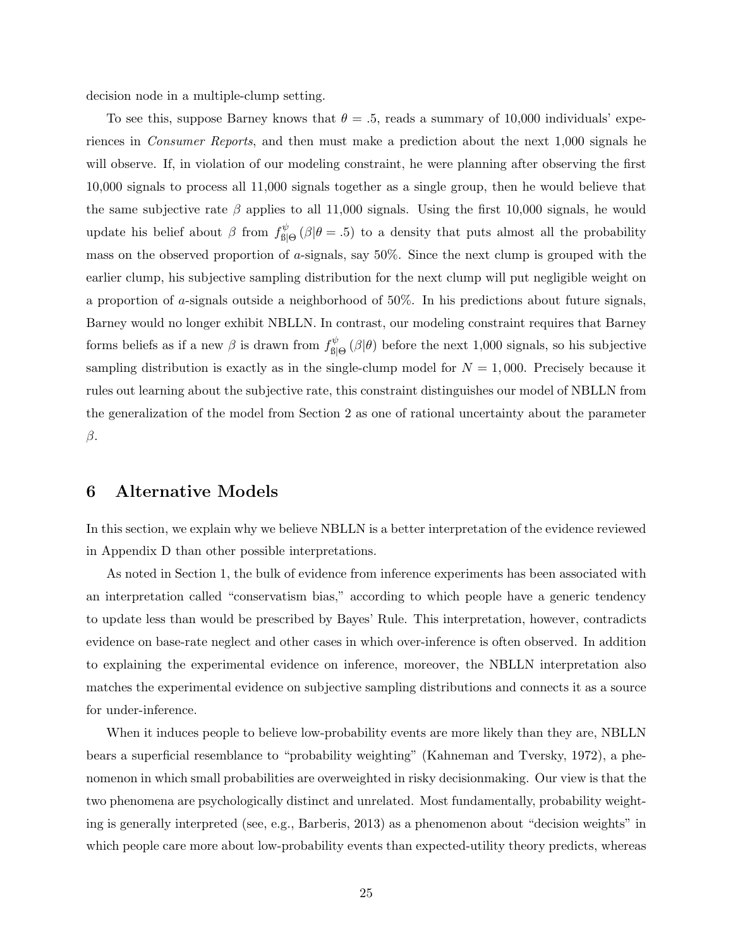decision node in a multiple-clump setting.

To see this, suppose Barney knows that  $\theta = .5$ , reads a summary of 10,000 individuals' experiences in Consumer Reports, and then must make a prediction about the next 1,000 signals he will observe. If, in violation of our modeling constraint, he were planning after observing the first 10,000 signals to process all 11,000 signals together as a single group, then he would believe that the same subjective rate  $\beta$  applies to all 11,000 signals. Using the first 10,000 signals, he would update his belief about  $\beta$  from  $f_{\text{ell}}^{\psi}$  $\mathcal{L}_{\text{B}|\Theta}^{\psi}$  ( $\beta|\theta = .5$ ) to a density that puts almost all the probability mass on the observed proportion of a-signals, say 50%. Since the next clump is grouped with the earlier clump, his subjective sampling distribution for the next clump will put negligible weight on a proportion of a-signals outside a neighborhood of 50%. In his predictions about future signals, Barney would no longer exhibit NBLLN. In contrast, our modeling constraint requires that Barney forms beliefs as if a new  $\beta$  is drawn from  $f_{\text{ell}}^{\psi}$  $\mathcal{L}_{\text{B}|\Theta}^{\psi}(\beta|\theta)$  before the next 1,000 signals, so his subjective sampling distribution is exactly as in the single-clump model for  $N = 1,000$ . Precisely because it rules out learning about the subjective rate, this constraint distinguishes our model of NBLLN from the generalization of the model from Section 2 as one of rational uncertainty about the parameter β.

### 6 Alternative Models

In this section, we explain why we believe NBLLN is a better interpretation of the evidence reviewed in Appendix D than other possible interpretations.

As noted in Section 1, the bulk of evidence from inference experiments has been associated with an interpretation called "conservatism bias," according to which people have a generic tendency to update less than would be prescribed by Bayes' Rule. This interpretation, however, contradicts evidence on base-rate neglect and other cases in which over-inference is often observed. In addition to explaining the experimental evidence on inference, moreover, the NBLLN interpretation also matches the experimental evidence on subjective sampling distributions and connects it as a source for under-inference.

When it induces people to believe low-probability events are more likely than they are, NBLLN bears a superficial resemblance to "probability weighting" (Kahneman and Tversky, 1972), a phenomenon in which small probabilities are overweighted in risky decisionmaking. Our view is that the two phenomena are psychologically distinct and unrelated. Most fundamentally, probability weighting is generally interpreted (see, e.g., Barberis, 2013) as a phenomenon about "decision weights" in which people care more about low-probability events than expected-utility theory predicts, whereas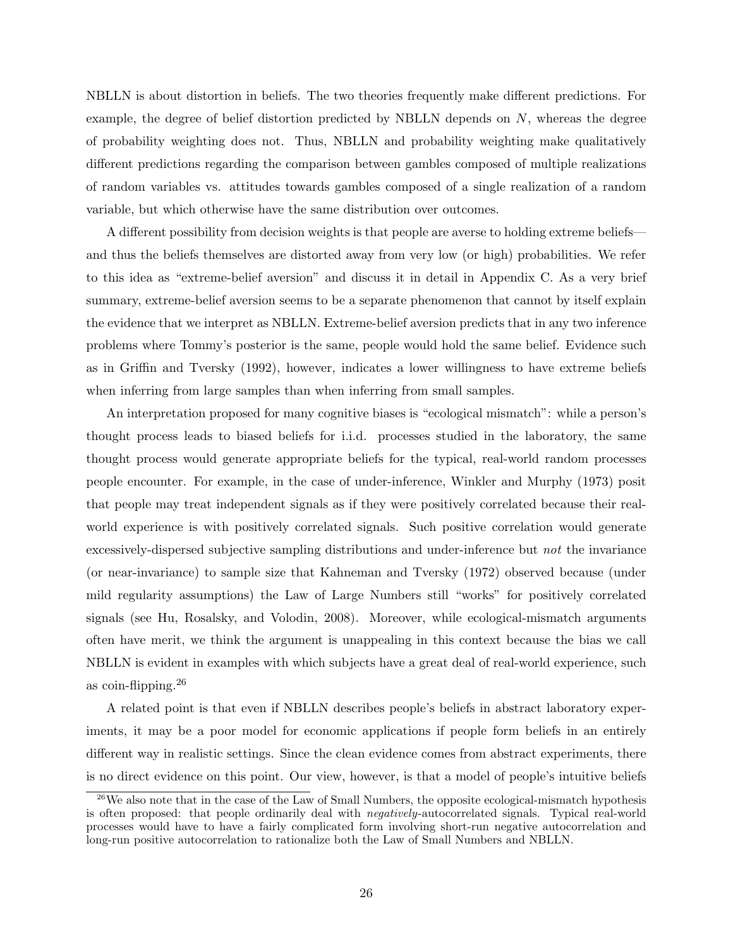NBLLN is about distortion in beliefs. The two theories frequently make different predictions. For example, the degree of belief distortion predicted by NBLLN depends on N, whereas the degree of probability weighting does not. Thus, NBLLN and probability weighting make qualitatively different predictions regarding the comparison between gambles composed of multiple realizations of random variables vs. attitudes towards gambles composed of a single realization of a random variable, but which otherwise have the same distribution over outcomes.

A different possibility from decision weights is that people are averse to holding extreme beliefs and thus the beliefs themselves are distorted away from very low (or high) probabilities. We refer to this idea as "extreme-belief aversion" and discuss it in detail in Appendix C. As a very brief summary, extreme-belief aversion seems to be a separate phenomenon that cannot by itself explain the evidence that we interpret as NBLLN. Extreme-belief aversion predicts that in any two inference problems where Tommy's posterior is the same, people would hold the same belief. Evidence such as in Griffin and Tversky (1992), however, indicates a lower willingness to have extreme beliefs when inferring from large samples than when inferring from small samples.

An interpretation proposed for many cognitive biases is "ecological mismatch": while a person's thought process leads to biased beliefs for i.i.d. processes studied in the laboratory, the same thought process would generate appropriate beliefs for the typical, real-world random processes people encounter. For example, in the case of under-inference, Winkler and Murphy (1973) posit that people may treat independent signals as if they were positively correlated because their realworld experience is with positively correlated signals. Such positive correlation would generate excessively-dispersed subjective sampling distributions and under-inference but not the invariance (or near-invariance) to sample size that Kahneman and Tversky (1972) observed because (under mild regularity assumptions) the Law of Large Numbers still "works" for positively correlated signals (see Hu, Rosalsky, and Volodin, 2008). Moreover, while ecological-mismatch arguments often have merit, we think the argument is unappealing in this context because the bias we call NBLLN is evident in examples with which subjects have a great deal of real-world experience, such as coin-flipping.<sup>26</sup>

A related point is that even if NBLLN describes people's beliefs in abstract laboratory experiments, it may be a poor model for economic applications if people form beliefs in an entirely different way in realistic settings. Since the clean evidence comes from abstract experiments, there is no direct evidence on this point. Our view, however, is that a model of people's intuitive beliefs

<sup>&</sup>lt;sup>26</sup>We also note that in the case of the Law of Small Numbers, the opposite ecological-mismatch hypothesis is often proposed: that people ordinarily deal with *negatively*-autocorrelated signals. Typical real-world processes would have to have a fairly complicated form involving short-run negative autocorrelation and long-run positive autocorrelation to rationalize both the Law of Small Numbers and NBLLN.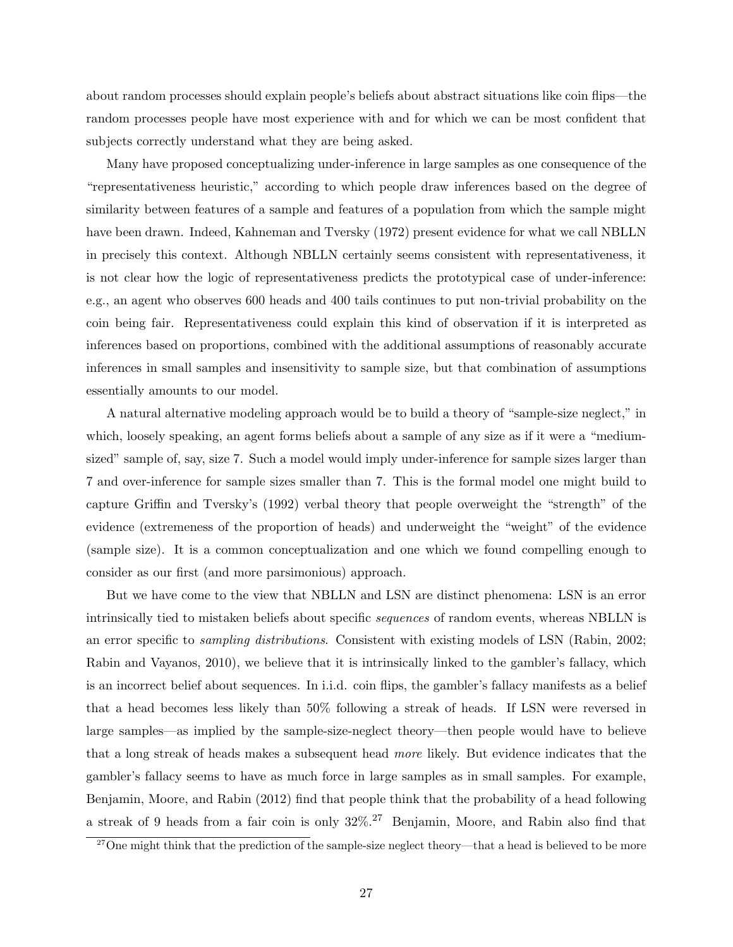about random processes should explain people's beliefs about abstract situations like coin flips—the random processes people have most experience with and for which we can be most confident that subjects correctly understand what they are being asked.

Many have proposed conceptualizing under-inference in large samples as one consequence of the "representativeness heuristic," according to which people draw inferences based on the degree of similarity between features of a sample and features of a population from which the sample might have been drawn. Indeed, Kahneman and Tversky (1972) present evidence for what we call NBLLN in precisely this context. Although NBLLN certainly seems consistent with representativeness, it is not clear how the logic of representativeness predicts the prototypical case of under-inference: e.g., an agent who observes 600 heads and 400 tails continues to put non-trivial probability on the coin being fair. Representativeness could explain this kind of observation if it is interpreted as inferences based on proportions, combined with the additional assumptions of reasonably accurate inferences in small samples and insensitivity to sample size, but that combination of assumptions essentially amounts to our model.

A natural alternative modeling approach would be to build a theory of "sample-size neglect," in which, loosely speaking, an agent forms beliefs about a sample of any size as if it were a "mediumsized" sample of, say, size 7. Such a model would imply under-inference for sample sizes larger than 7 and over-inference for sample sizes smaller than 7. This is the formal model one might build to capture Griffin and Tversky's (1992) verbal theory that people overweight the "strength" of the evidence (extremeness of the proportion of heads) and underweight the "weight" of the evidence (sample size). It is a common conceptualization and one which we found compelling enough to consider as our first (and more parsimonious) approach.

But we have come to the view that NBLLN and LSN are distinct phenomena: LSN is an error intrinsically tied to mistaken beliefs about specific sequences of random events, whereas NBLLN is an error specific to sampling distributions. Consistent with existing models of LSN (Rabin, 2002; Rabin and Vayanos, 2010), we believe that it is intrinsically linked to the gambler's fallacy, which is an incorrect belief about sequences. In i.i.d. coin flips, the gambler's fallacy manifests as a belief that a head becomes less likely than 50% following a streak of heads. If LSN were reversed in large samples—as implied by the sample-size-neglect theory—then people would have to believe that a long streak of heads makes a subsequent head more likely. But evidence indicates that the gambler's fallacy seems to have as much force in large samples as in small samples. For example, Benjamin, Moore, and Rabin (2012) find that people think that the probability of a head following a streak of 9 heads from a fair coin is only  $32\%$ .<sup>27</sup> Benjamin, Moore, and Rabin also find that

<sup>&</sup>lt;sup>27</sup>One might think that the prediction of the sample-size neglect theory—that a head is believed to be more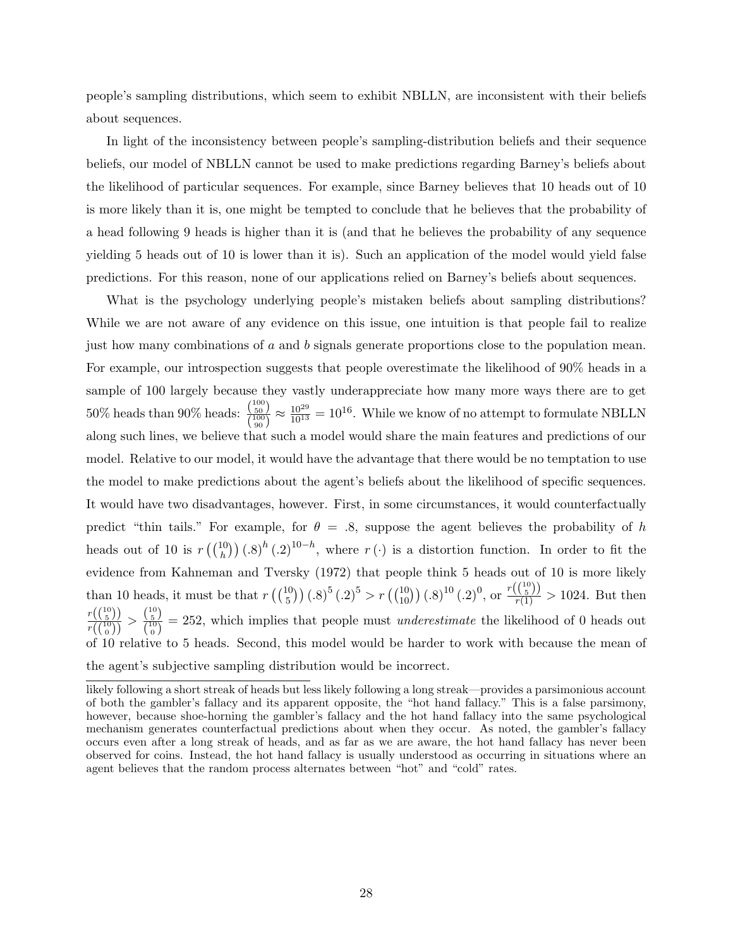people's sampling distributions, which seem to exhibit NBLLN, are inconsistent with their beliefs about sequences.

In light of the inconsistency between people's sampling-distribution beliefs and their sequence beliefs, our model of NBLLN cannot be used to make predictions regarding Barney's beliefs about the likelihood of particular sequences. For example, since Barney believes that 10 heads out of 10 is more likely than it is, one might be tempted to conclude that he believes that the probability of a head following 9 heads is higher than it is (and that he believes the probability of any sequence yielding 5 heads out of 10 is lower than it is). Such an application of the model would yield false predictions. For this reason, none of our applications relied on Barney's beliefs about sequences.

What is the psychology underlying people's mistaken beliefs about sampling distributions? While we are not aware of any evidence on this issue, one intuition is that people fail to realize just how many combinations of a and b signals generate proportions close to the population mean. For example, our introspection suggests that people overestimate the likelihood of 90% heads in a sample of 100 largely because they vastly underappreciate how many more ways there are to get  $50\%$  heads than  $90\%$  heads:  $\frac{\binom{100}{50}}{\binom{100}{100}}$  $\left(\frac{150}{50}\right)$   $\approx \frac{10^{29}}{10^{13}} = 10^{16}$ . While we know of no attempt to formulate NBLLN along such lines, we believe that such a model would share the main features and predictions of our model. Relative to our model, it would have the advantage that there would be no temptation to use the model to make predictions about the agent's beliefs about the likelihood of specific sequences. It would have two disadvantages, however. First, in some circumstances, it would counterfactually predict "thin tails." For example, for  $\theta = .8$ , suppose the agent believes the probability of h heads out of 10 is  $r\left(\binom{10}{h}\right)(.8)^h(.2)^{10-h}$ , where  $r(\cdot)$  is a distortion function. In order to fit the evidence from Kahneman and Tversky (1972) that people think 5 heads out of 10 is more likely than 10 heads, it must be that  $r\left(\binom{10}{5}\right)(.8)^5(.2)^5 > r\left(\binom{10}{10}\right)(.8)^{10}(.2)^0$ , or  $\frac{r\left(\binom{10}{5}\right)}{r(1)} > 1024$ . But then  $r\bigl( \binom{10}{5} \bigr)$  $\frac{r\left(\binom{10}{5}\right)}{r\left(\binom{10}{0}\right)} > \frac{\binom{10}{5}}{\binom{10}{0}}$  $\frac{\binom{5}{10}}{\binom{10}{0}}$  = 252, which implies that people must *underestimate* the likelihood of 0 heads out of 10 relative to 5 heads. Second, this model would be harder to work with because the mean of the agent's subjective sampling distribution would be incorrect.

likely following a short streak of heads but less likely following a long streak—provides a parsimonious account of both the gambler's fallacy and its apparent opposite, the "hot hand fallacy." This is a false parsimony, however, because shoe-horning the gambler's fallacy and the hot hand fallacy into the same psychological mechanism generates counterfactual predictions about when they occur. As noted, the gambler's fallacy occurs even after a long streak of heads, and as far as we are aware, the hot hand fallacy has never been observed for coins. Instead, the hot hand fallacy is usually understood as occurring in situations where an agent believes that the random process alternates between "hot" and "cold" rates.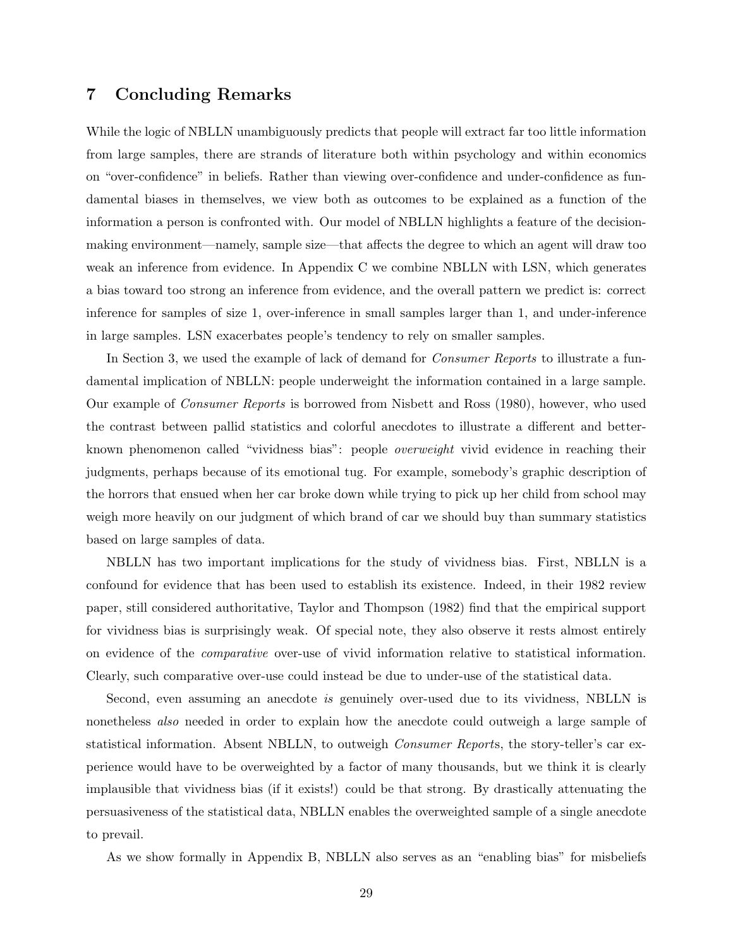### 7 Concluding Remarks

While the logic of NBLLN unambiguously predicts that people will extract far too little information from large samples, there are strands of literature both within psychology and within economics on "over-confidence" in beliefs. Rather than viewing over-confidence and under-confidence as fundamental biases in themselves, we view both as outcomes to be explained as a function of the information a person is confronted with. Our model of NBLLN highlights a feature of the decisionmaking environment—namely, sample size—that affects the degree to which an agent will draw too weak an inference from evidence. In Appendix C we combine NBLLN with LSN, which generates a bias toward too strong an inference from evidence, and the overall pattern we predict is: correct inference for samples of size 1, over-inference in small samples larger than 1, and under-inference in large samples. LSN exacerbates people's tendency to rely on smaller samples.

In Section 3, we used the example of lack of demand for *Consumer Reports* to illustrate a fundamental implication of NBLLN: people underweight the information contained in a large sample. Our example of Consumer Reports is borrowed from Nisbett and Ross (1980), however, who used the contrast between pallid statistics and colorful anecdotes to illustrate a different and betterknown phenomenon called "vividness bias": people overweight vivid evidence in reaching their judgments, perhaps because of its emotional tug. For example, somebody's graphic description of the horrors that ensued when her car broke down while trying to pick up her child from school may weigh more heavily on our judgment of which brand of car we should buy than summary statistics based on large samples of data.

NBLLN has two important implications for the study of vividness bias. First, NBLLN is a confound for evidence that has been used to establish its existence. Indeed, in their 1982 review paper, still considered authoritative, Taylor and Thompson (1982) find that the empirical support for vividness bias is surprisingly weak. Of special note, they also observe it rests almost entirely on evidence of the comparative over-use of vivid information relative to statistical information. Clearly, such comparative over-use could instead be due to under-use of the statistical data.

Second, even assuming an anecdote is genuinely over-used due to its vividness, NBLLN is nonetheless also needed in order to explain how the anecdote could outweigh a large sample of statistical information. Absent NBLLN, to outweigh Consumer Reports, the story-teller's car experience would have to be overweighted by a factor of many thousands, but we think it is clearly implausible that vividness bias (if it exists!) could be that strong. By drastically attenuating the persuasiveness of the statistical data, NBLLN enables the overweighted sample of a single anecdote to prevail.

As we show formally in Appendix B, NBLLN also serves as an "enabling bias" for misbeliefs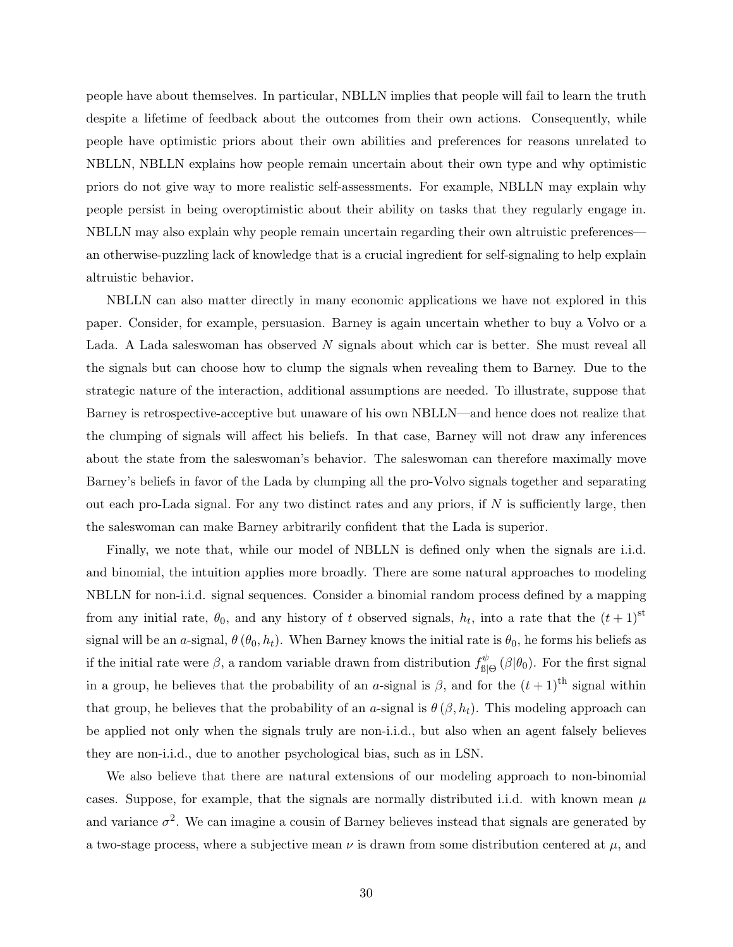people have about themselves. In particular, NBLLN implies that people will fail to learn the truth despite a lifetime of feedback about the outcomes from their own actions. Consequently, while people have optimistic priors about their own abilities and preferences for reasons unrelated to NBLLN, NBLLN explains how people remain uncertain about their own type and why optimistic priors do not give way to more realistic self-assessments. For example, NBLLN may explain why people persist in being overoptimistic about their ability on tasks that they regularly engage in. NBLLN may also explain why people remain uncertain regarding their own altruistic preferences an otherwise-puzzling lack of knowledge that is a crucial ingredient for self-signaling to help explain altruistic behavior.

NBLLN can also matter directly in many economic applications we have not explored in this paper. Consider, for example, persuasion. Barney is again uncertain whether to buy a Volvo or a Lada. A Lada saleswoman has observed N signals about which car is better. She must reveal all the signals but can choose how to clump the signals when revealing them to Barney. Due to the strategic nature of the interaction, additional assumptions are needed. To illustrate, suppose that Barney is retrospective-acceptive but unaware of his own NBLLN—and hence does not realize that the clumping of signals will affect his beliefs. In that case, Barney will not draw any inferences about the state from the saleswoman's behavior. The saleswoman can therefore maximally move Barney's beliefs in favor of the Lada by clumping all the pro-Volvo signals together and separating out each pro-Lada signal. For any two distinct rates and any priors, if  $N$  is sufficiently large, then the saleswoman can make Barney arbitrarily confident that the Lada is superior.

Finally, we note that, while our model of NBLLN is defined only when the signals are i.i.d. and binomial, the intuition applies more broadly. There are some natural approaches to modeling NBLLN for non-i.i.d. signal sequences. Consider a binomial random process defined by a mapping from any initial rate,  $\theta_0$ , and any history of t observed signals,  $h_t$ , into a rate that the  $(t+1)$ <sup>st</sup> signal will be an a-signal,  $\theta$  ( $\theta_0$ ,  $h_t$ ). When Barney knows the initial rate is  $\theta_0$ , he forms his beliefs as if the initial rate were  $\beta$ , a random variable drawn from distribution  $f_{\text{ell}}^{\psi}$  $\int_{\mathcal{B}|\Theta}^{\psi}(\beta|\theta_0)$ . For the first signal in a group, he believes that the probability of an a-signal is  $\beta$ , and for the  $(t+1)$ <sup>th</sup> signal within that group, he believes that the probability of an a-signal is  $\theta(\beta, h_t)$ . This modeling approach can be applied not only when the signals truly are non-i.i.d., but also when an agent falsely believes they are non-i.i.d., due to another psychological bias, such as in LSN.

We also believe that there are natural extensions of our modeling approach to non-binomial cases. Suppose, for example, that the signals are normally distributed i.i.d. with known mean  $\mu$ and variance  $\sigma^2$ . We can imagine a cousin of Barney believes instead that signals are generated by a two-stage process, where a subjective mean  $\nu$  is drawn from some distribution centered at  $\mu$ , and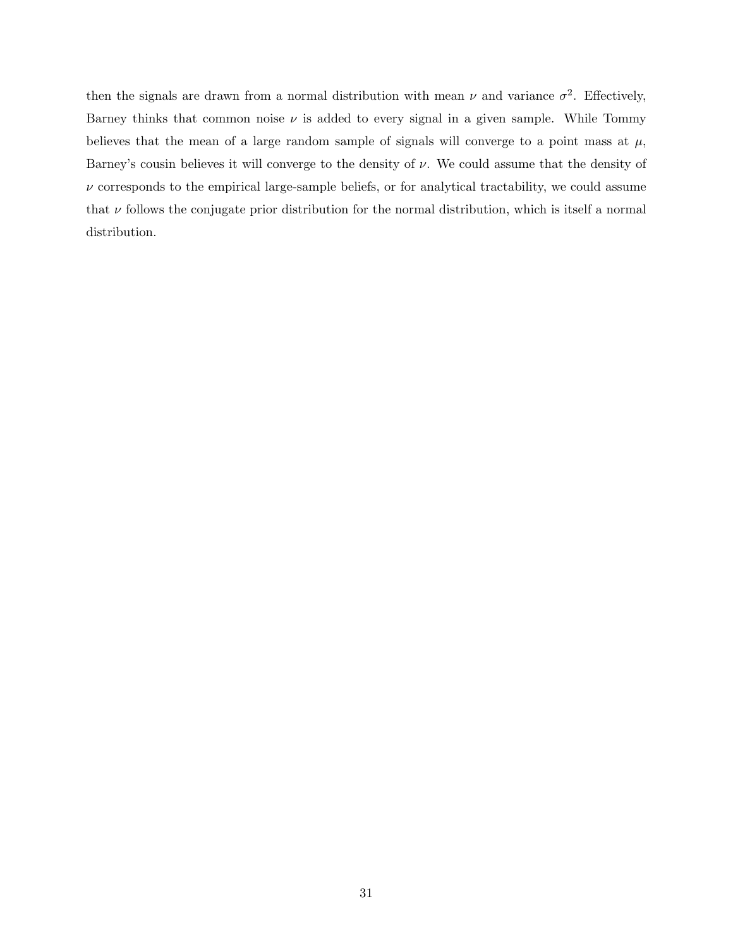then the signals are drawn from a normal distribution with mean  $\nu$  and variance  $\sigma^2$ . Effectively, Barney thinks that common noise  $\nu$  is added to every signal in a given sample. While Tommy believes that the mean of a large random sample of signals will converge to a point mass at  $\mu$ , Barney's cousin believes it will converge to the density of  $\nu$ . We could assume that the density of  $\nu$  corresponds to the empirical large-sample beliefs, or for analytical tractability, we could assume that  $\nu$  follows the conjugate prior distribution for the normal distribution, which is itself a normal distribution.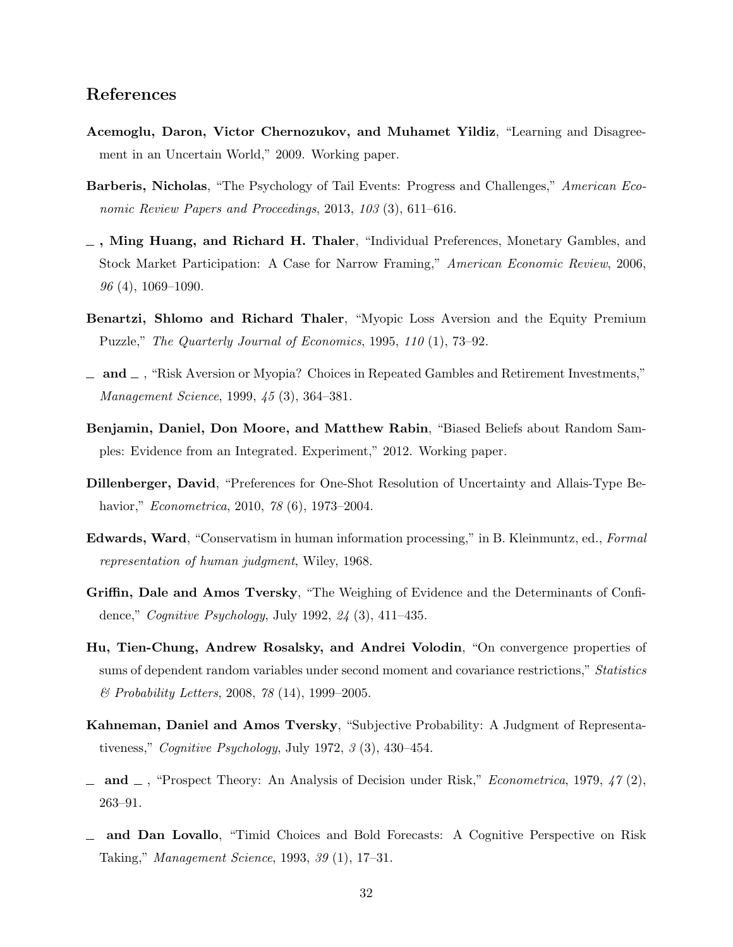### References

- Acemoglu, Daron, Victor Chernozukov, and Muhamet Yildiz, "Learning and Disagreement in an Uncertain World," 2009. Working paper.
- Barberis, Nicholas, "The Psychology of Tail Events: Progress and Challenges," American Economic Review Papers and Proceedings, 2013, 103 (3), 611–616.
- $\overline{\phantom{a}}$ , Ming Huang, and Richard H. Thaler, "Individual Preferences, Monetary Gambles, and Stock Market Participation: A Case for Narrow Framing," American Economic Review, 2006,  $96(4)$ , 1069–1090.
- Benartzi, Shlomo and Richard Thaler, "Myopic Loss Aversion and the Equity Premium Puzzle," The Quarterly Journal of Economics, 1995, 110 (1), 73–92.
- $\Box$  and  $\Box$ , "Risk Aversion or Myopia? Choices in Repeated Gambles and Retirement Investments," Management Science, 1999, 45 (3), 364–381.
- Benjamin, Daniel, Don Moore, and Matthew Rabin, "Biased Beliefs about Random Samples: Evidence from an Integrated. Experiment," 2012. Working paper.
- Dillenberger, David, "Preferences for One-Shot Resolution of Uncertainty and Allais-Type Behavior," Econometrica, 2010, 78 (6), 1973–2004.
- Edwards, Ward, "Conservatism in human information processing," in B. Kleinmuntz, ed., Formal representation of human judgment, Wiley, 1968.
- Griffin, Dale and Amos Tversky, "The Weighing of Evidence and the Determinants of Confidence," Cognitive Psychology, July 1992, 24 (3), 411–435.
- Hu, Tien-Chung, Andrew Rosalsky, and Andrei Volodin, "On convergence properties of sums of dependent random variables under second moment and covariance restrictions," Statistics & Probability Letters, 2008, 78 (14), 1999–2005.
- Kahneman, Daniel and Amos Tversky, "Subjective Probability: A Judgment of Representativeness," Cognitive Psychology, July 1972, 3 (3), 430–454.
- and  $\Box$ , "Prospect Theory: An Analysis of Decision under Risk," *Econometrica*, 1979, 47 (2), 263–91.
- and Dan Lovallo, "Timid Choices and Bold Forecasts: A Cognitive Perspective on Risk Taking," Management Science, 1993, 39 (1), 17–31.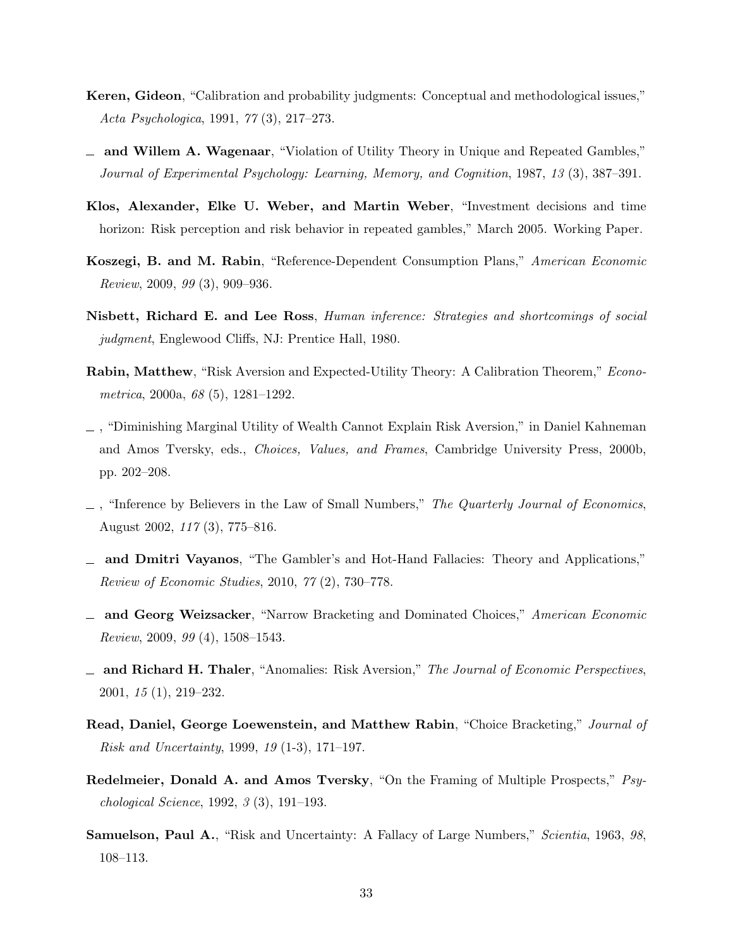- Keren, Gideon, "Calibration and probability judgments: Conceptual and methodological issues," Acta Psychologica, 1991, 77 (3), 217–273.
- and Willem A. Wagenaar, "Violation of Utility Theory in Unique and Repeated Gambles," Journal of Experimental Psychology: Learning, Memory, and Cognition, 1987, 13 (3), 387–391.
- Klos, Alexander, Elke U. Weber, and Martin Weber, "Investment decisions and time horizon: Risk perception and risk behavior in repeated gambles," March 2005. Working Paper.
- Koszegi, B. and M. Rabin, "Reference-Dependent Consumption Plans," American Economic Review, 2009, 99 (3), 909–936.
- Nisbett, Richard E. and Lee Ross, Human inference: Strategies and shortcomings of social judgment, Englewood Cliffs, NJ: Prentice Hall, 1980.
- Rabin, Matthew, "Risk Aversion and Expected-Utility Theory: A Calibration Theorem," Econometrica, 2000a, 68 (5), 1281–1292.
- , "Diminishing Marginal Utility of Wealth Cannot Explain Risk Aversion," in Daniel Kahneman and Amos Tversky, eds., Choices, Values, and Frames, Cambridge University Press, 2000b, pp. 202–208.
- $\Box$ , "Inference by Believers in the Law of Small Numbers," The Quarterly Journal of Economics, August 2002, 117 (3), 775–816.
- and Dmitri Vayanos, "The Gambler's and Hot-Hand Fallacies: Theory and Applications," Review of Economic Studies, 2010, 77 (2), 730–778.
- and Georg Weizsacker, "Narrow Bracketing and Dominated Choices," American Economic Review, 2009, 99 (4), 1508–1543.
- $\Box$  and Richard H. Thaler, "Anomalies: Risk Aversion," The Journal of Economic Perspectives, 2001, 15 (1), 219–232.
- Read, Daniel, George Loewenstein, and Matthew Rabin, "Choice Bracketing," Journal of Risk and Uncertainty, 1999, 19 (1-3), 171–197.
- Redelmeier, Donald A. and Amos Tversky, "On the Framing of Multiple Prospects," Psychological Science, 1992, 3 (3), 191–193.
- Samuelson, Paul A., "Risk and Uncertainty: A Fallacy of Large Numbers," Scientia, 1963, 98, 108–113.